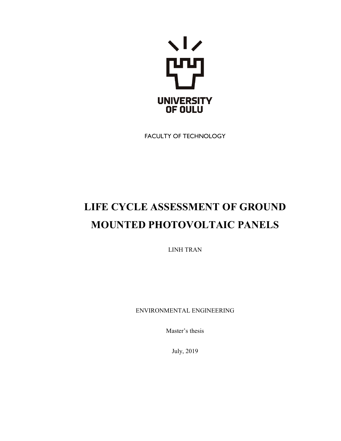

FACULTY OF TECHNOLOGY

# **LIFE CYCLE ASSESSMENT OF GROUND MOUNTED PHOTOVOLTAIC PANELS**

LINH TRAN

ENVIRONMENTAL ENGINEERING

Master's thesis

July, 2019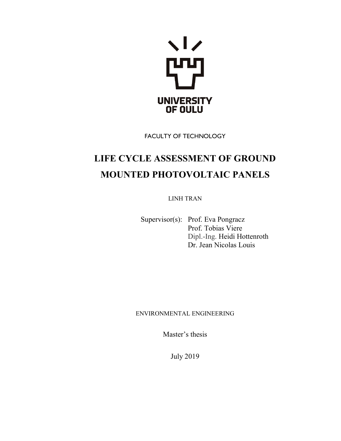

FACULTY OF TECHNOLOGY

## **LIFE CYCLE ASSESSMENT OF GROUND MOUNTED PHOTOVOLTAIC PANELS**

LINH TRAN

Supervisor(s): Prof. Eva Pongracz Prof. Tobias Viere Dipl.-Ing. Heidi Hottenroth Dr. Jean Nicolas Louis

#### ENVIRONMENTAL ENGINEERING

Master's thesis

July 2019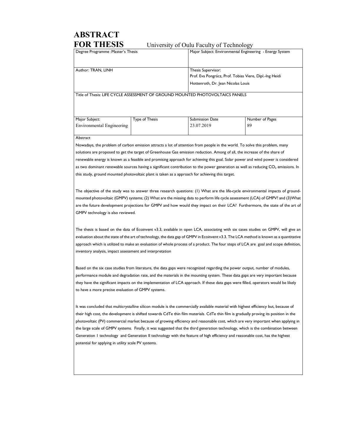# **ABSTRACT**

**FOR THESIS** University of Oulu Faculty of Technology

| Degree Programme : Master's Thesis |                |                                                                                                                            | Major Subject: Environmental Engineering - Energy System |  |
|------------------------------------|----------------|----------------------------------------------------------------------------------------------------------------------------|----------------------------------------------------------|--|
|                                    |                |                                                                                                                            |                                                          |  |
| Author: TRAN, LINH                 |                |                                                                                                                            | Thesis Supervisor:                                       |  |
|                                    |                |                                                                                                                            | Prof. Eva Pongrácz, Prof. Tobias Viere, Dipl.-Ing Heidi  |  |
|                                    |                |                                                                                                                            | Hottenroth, Dr. Jean Nicolas Louis                       |  |
|                                    |                | Title of Thesis: LIFE CYCLE ASSESSMENT OF GROUND MOUNTED PHOTOVOLTAICS PANELS                                              |                                                          |  |
|                                    |                |                                                                                                                            |                                                          |  |
| Major Subject:                     | Type of Thesis | <b>Submission Date</b>                                                                                                     | Number of Pages                                          |  |
| Environmental Engineering          |                | 23.07.2019                                                                                                                 | 89                                                       |  |
| Abstract                           |                |                                                                                                                            |                                                          |  |
|                                    |                | Nowadays, the problem of carbon emission attracts a lot of attention from people in the world. To solve this problem, many |                                                          |  |
|                                    |                | equipped are proposed to get the textet of Crosphouse Cas emission reduction. Among of all the increase of the share of    |                                                          |  |

solutions are proposed to get the target of Greenhouse Gas emission reduction. Among of all, the increase of the share renewable energy is known as a feasible and promising approach for achieving this goal. Solar power and wind power is considered as two dominant renewable sources having a significant contribution to the power generation as well as reducing  $CO<sub>2</sub>$  emissions. In this study, ground mounted photovoltaic plant is taken as a approach for achieving this target.

The objective of the study was to answer three research questions: (1) What are the life-cycle environmental impacts of groundmounted photovoltaic (GMPV) systems; (2) What are the missing data to perform life cycle assessment (LCA) of GMPV? and (3)What are the future development projections for GMPV and how would they impact on their LCA? Furthermore, the state of the art of GMPV technology is also reviewed.

The thesis is based on the data of Ecoinvent v3.3, available in open LCA, associating with six cases studies on GMPV, will give an evaluation about the state of the art of technology, the data gap of GMPV in Ecoinvent v3.3. The LCA method is known as a quantitative approach which is utilized to make an evaluation of whole process of a product. The four steps of LCA are goal and scope definition, inventory analysis, impact assessment and interpretation

Based on the six case studies from literature, the data gaps were recognized regarding the power output, number of modules, performance module and degradation rate, and the materials in the mounting system. These data gaps are very important because they have the significant impacts on the implementation of LCA approach. If these data gaps were filled, operators would be likely to have a more precise evaluation of GMPV systems.

It was concluded that multicrystalline silicon module is the commercially available material with highest efficiency but, because of their high cost, the development is shifted towards CdTe thin film materials. CdTe thin film is gradually proving its position in the photovoltaic (PV) commercial market because of growing efficiency and reasonable cost, which are very important when applying in the large scale of GMPV systems. Finally, it was suggested that the third generation technology, which is the combination between Generation 1 technology and Generation II technology with the feature of high efficiency and reasonable cost, has the highest potential for applying in utility scale PV systems.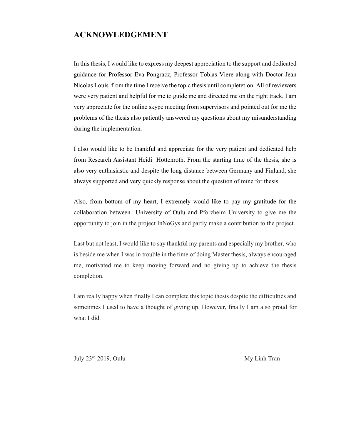### **ACKNOWLEDGEMENT**

In this thesis, I would like to express my deepest appreciation to the support and dedicated guidance for Professor Eva Pongracz, Professor Tobias Viere along with Doctor Jean Nicolas Louis from the time I receive the topic thesis until completetion. All of reviewers were very patient and helpful for me to guide me and directed me on the right track. I am very appreciate for the online skype meeting from supervisors and pointed out for me the problems of the thesis also patiently answered my questions about my misunderstanding during the implementation.

I also would like to be thankful and appreciate for the very patient and dedicated help from Research Assistant Heidi Hottenroth. From the starting time of the thesis, she is also very enthusiastic and despite the long distance between Germany and Finland, she always supported and very quickly response about the question of mine for thesis.

Also, from bottom of my heart, I extremely would like to pay my gratitude for the collaboration between University of Oulu and Pforzheim University to give me the opportunity to join in the project InNoGys and partly make a contribution to the project.

Last but not least, I would like to say thankful my parents and especially my brother, who is beside me when I was in trouble in the time of doing Master thesis, always encouraged me, motivated me to keep moving forward and no giving up to achieve the thesis completion.

I am really happy when finally I can complete this topic thesis despite the difficulties and sometimes I used to have a thought of giving up. However, finally I am also proud for what I did.

July 23<sup>rd</sup> 2019, Oulu My Linh Tran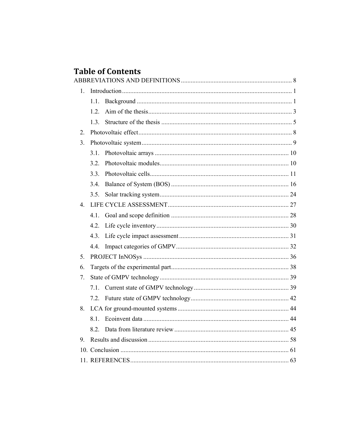## **Table of Contents**

| 1.             |      |  |
|----------------|------|--|
|                | 1.1. |  |
|                | 1.2. |  |
|                | 1.3. |  |
| 2.             |      |  |
| 3.             |      |  |
|                | 3.1. |  |
|                | 3.2. |  |
|                | 3.3. |  |
|                | 3.4. |  |
|                | 3.5. |  |
| $\mathbf{4}$ . |      |  |
|                | 4.1. |  |
|                | 4.2. |  |
|                | 4.3. |  |
|                |      |  |
| 5.             |      |  |
| 6.             |      |  |
| 7.             |      |  |
|                |      |  |
|                |      |  |
| 8.             |      |  |
|                |      |  |
|                | 8.2. |  |
| 9.             |      |  |
|                |      |  |
|                |      |  |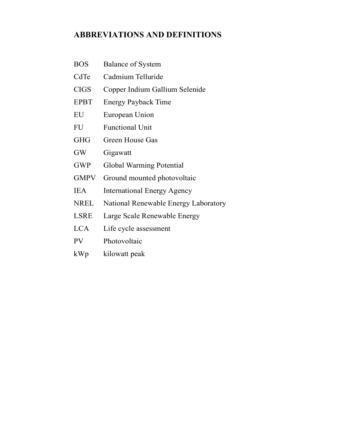## **ABBREVIATIONS AND DEFINITIONS**

- BOS Balance of System
- CdTe Cadmium Telluride
- CIGS Copper Indium Gallium Selenide
- EPBT Energy Payback Time
- EU European Union
- FU Functional Unit
- GHG Green House Gas
- GW Gigawatt
- GWP Global Warming Potential
- GMPV Ground mounted photovoltaic
- IEA International Energy Agency
- NREL National Renewable Energy Laboratory
- LSRE Large Scale Renewable Energy
- LCA Life cycle assessment
- PV Photovoltaic
- kWp kilowatt peak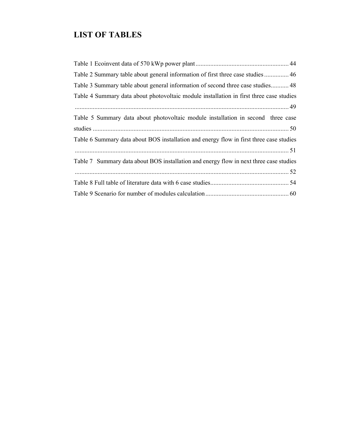## **LIST OF TABLES**

| Table 2 Summary table about general information of first three case studies 46          |
|-----------------------------------------------------------------------------------------|
| Table 3 Summary table about general information of second three case studies 48         |
| Table 4 Summary data about photovoltaic module installation in first three case studies |
|                                                                                         |
| Table 5 Summary data about photovoltaic module installation in second three case        |
|                                                                                         |
| Table 6 Summary data about BOS installation and energy flow in first three case studies |
|                                                                                         |
| Table 7 Summary data about BOS installation and energy flow in next three case studies  |
|                                                                                         |
|                                                                                         |
|                                                                                         |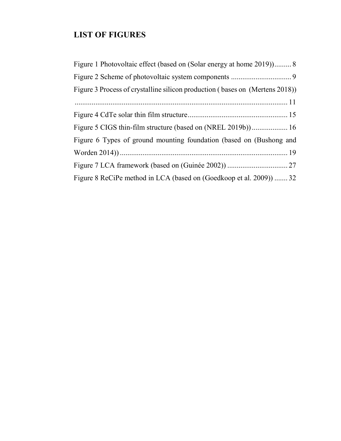## **LIST OF FIGURES**

| Figure 1 Photovoltaic effect (based on (Solar energy at home 2019)) 8        |
|------------------------------------------------------------------------------|
|                                                                              |
| Figure 3 Process of crystalline silicon production (bases on (Mertens 2018)) |
|                                                                              |
|                                                                              |
|                                                                              |
| Figure 6 Types of ground mounting foundation (based on (Bushong and          |
|                                                                              |
|                                                                              |
| Figure 8 ReCiPe method in LCA (based on (Goedkoop et al. 2009))  32          |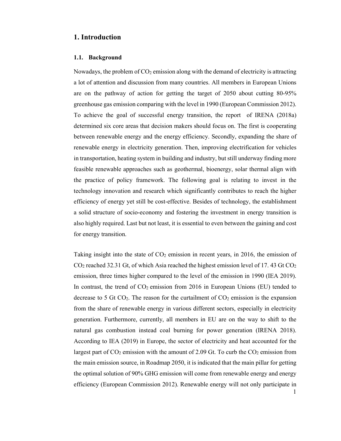#### **1. Introduction**

#### **1.1. Background**

Nowadays, the problem of  $CO<sub>2</sub>$  emission along with the demand of electricity is attracting a lot of attention and discussion from many countries. All members in European Unions are on the pathway of action for getting the target of 2050 about cutting 80-95% greenhouse gas emission comparing with the level in 1990 (European Commission 2012). To achieve the goal of successful energy transition, the report of IRENA (2018a) determined six core areas that decision makers should focus on. The first is cooperating between renewable energy and the energy efficiency. Secondly, expanding the share of renewable energy in electricity generation. Then, improving electrification for vehicles in transportation, heating system in building and industry, but still underway finding more feasible renewable approaches such as geothermal, bioenergy, solar thermal align with the practice of policy framework. The following goal is relating to invest in the technology innovation and research which significantly contributes to reach the higher efficiency of energy yet still be cost-effective. Besides of technology, the establishment a solid structure of socio-economy and fostering the investment in energy transition is also highly required. Last but not least, it is essential to even between the gaining and cost for energy transition.

Taking insight into the state of  $CO<sub>2</sub>$  emission in recent years, in 2016, the emission of  $CO<sub>2</sub>$  reached 32.31 Gt, of which Asia reached the highest emission level of 17.43 Gt  $CO<sub>2</sub>$ emission, three times higher compared to the level of the emission in 1990 (IEA 2019). In contrast, the trend of  $CO<sub>2</sub>$  emission from 2016 in European Unions (EU) tended to decrease to 5 Gt  $CO<sub>2</sub>$ . The reason for the curtailment of  $CO<sub>2</sub>$  emission is the expansion from the share of renewable energy in various different sectors, especially in electricity generation. Furthermore, currently, all members in EU are on the way to shift to the natural gas combustion instead coal burning for power generation (IRENA 2018). According to IEA (2019) in Europe, the sector of electricity and heat accounted for the largest part of  $CO_2$  emission with the amount of 2.09 Gt. To curb the  $CO_2$  emission from the main emission source, in Roadmap 2050, it is indicated that the main pillar for getting the optimal solution of 90% GHG emission will come from renewable energy and energy efficiency (European Commission 2012). Renewable energy will not only participate in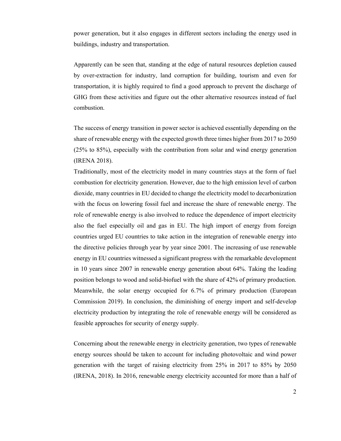power generation, but it also engages in different sectors including the energy used in buildings, industry and transportation.

Apparently can be seen that, standing at the edge of natural resources depletion caused by over-extraction for industry, land corruption for building, tourism and even for transportation, it is highly required to find a good approach to prevent the discharge of GHG from these activities and figure out the other alternative resources instead of fuel combustion.

The success of energy transition in power sector is achieved essentially depending on the share of renewable energy with the expected growth three times higher from 2017 to 2050 (25% to 85%), especially with the contribution from solar and wind energy generation (IRENA 2018).

Traditionally, most of the electricity model in many countries stays at the form of fuel combustion for electricity generation. However, due to the high emission level of carbon dioxide, many countries in EU decided to change the electricity model to decarbonization with the focus on lowering fossil fuel and increase the share of renewable energy. The role of renewable energy is also involved to reduce the dependence of import electricity also the fuel especially oil and gas in EU. The high import of energy from foreign countries urged EU countries to take action in the integration of renewable energy into the directive policies through year by year since 2001. The increasing of use renewable energy in EU countries witnessed a significant progress with the remarkable development in 10 years since 2007 in renewable energy generation about 64%. Taking the leading position belongs to wood and solid-biofuel with the share of 42% of primary production. Meanwhile, the solar energy occupied for 6.7% of primary production (European Commission 2019). In conclusion, the diminishing of energy import and self-develop electricity production by integrating the role of renewable energy will be considered as feasible approaches for security of energy supply.

Concerning about the renewable energy in electricity generation, two types of renewable energy sources should be taken to account for including photovoltaic and wind power generation with the target of raising electricity from 25% in 2017 to 85% by 2050 (IRENA, 2018). In 2016, renewable energy electricity accounted for more than a half of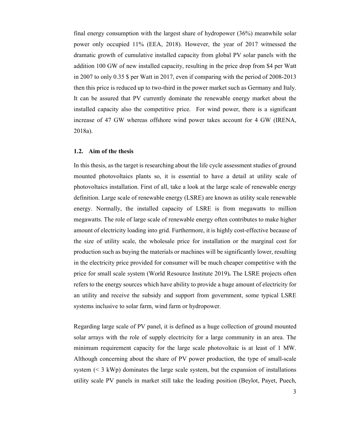final energy consumption with the largest share of hydropower (36%) meanwhile solar power only occupied 11% (EEA, 2018). However, the year of 2017 witnessed the dramatic growth of cumulative installed capacity from global PV solar panels with the addition 100 GW of new installed capacity, resulting in the price drop from \$4 per Watt in 2007 to only 0.35 \$ per Watt in 2017, even if comparing with the period of 2008-2013 then this price is reduced up to two-third in the power market such as Germany and Italy. It can be assured that PV currently dominate the renewable energy market about the installed capacity also the competitive price. For wind power, there is a significant increase of 47 GW whereas offshore wind power takes account for 4 GW (IRENA, 2018a).

#### **1.2. Aim of the thesis**

In this thesis, as the target is researching about the life cycle assessment studies of ground mounted photovoltaics plants so, it is essential to have a detail at utility scale of photovoltaics installation. First of all, take a look at the large scale of renewable energy definition. Large scale of renewable energy (LSRE) are known as utility scale renewable energy. Normally, the installed capacity of LSRE is from megawatts to million megawatts. The role of large scale of renewable energy often contributes to make higher amount of electricity loading into grid. Furthermore, it is highly cost-effective because of the size of utility scale, the wholesale price for installation or the marginal cost for production such as buying the materials or machines will be significantly lower, resulting in the electricity price provided for consumer will be much cheaper competitive with the price for small scale system (World Resource Institute 2019)**.** The LSRE projects often refers to the energy sources which have ability to provide a huge amount of electricity for an utility and receive the subsidy and support from government, some typical LSRE systems inclusive to solar farm, wind farm or hydropower.

Regarding large scale of PV panel, it is defined as a huge collection of ground mounted solar arrays with the role of supply electricity for a large community in an area. The minimum requirement capacity for the large scale photovoltaic is at least of 1 MW. Although concerning about the share of PV power production, the type of small-scale system  $(< 3 \text{ kWh})$  dominates the large scale system, but the expansion of installations utility scale PV panels in market still take the leading position (Beylot, Payet, Puech,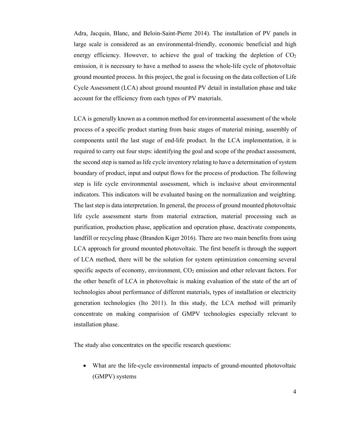Adra, Jacquin, Blanc, and Beloin-Saint-Pierre 2014). The installation of PV panels in large scale is considered as an environmental-friendly, economic beneficial and high energy efficiency. However, to achieve the goal of tracking the depletion of  $CO<sub>2</sub>$ emission, it is necessary to have a method to assess the whole-life cycle of photovoltaic ground mounted process. In this project, the goal is focusing on the data collection of Life Cycle Assessment (LCA) about ground mounted PV detail in installation phase and take account for the efficiency from each types of PV materials.

LCA is generally known as a common method for environmental assessment of the whole process of a specific product starting from basic stages of material mining, assembly of components until the last stage of end-life product. In the LCA implementation, it is required to carry out four steps: identifying the goal and scope of the product assessment, the second step is named as life cycle inventory relating to have a determination of system boundary of product, input and output flows for the process of production. The following step is life cycle environmental assessment, which is inclusive about environmental indicators. This indicators will be evaluated basing on the normalization and weighting. The last step is data interpretation. In general, the process of ground mounted photovoltaic life cycle assessment starts from material extraction, material processing such as purification, production phase, application and operation phase, deactivate components, landfill or recycling phase (Brandon Kiger 2016). There are two main benefits from using LCA approach for ground mounted photovoltaic. The first benefit is through the support of LCA method, there will be the solution for system optimization concerning several specific aspects of economy, environment,  $CO<sub>2</sub>$  emission and other relevant factors. For the other benefit of LCA in photovoltaic is making evaluation of the state of the art of technologies about performance of different materials, types of installation or electricity generation technologies (Ito 2011). In this study, the LCA method will primarily concentrate on making comparision of GMPV technologies especially relevant to installation phase.

The study also concentrates on the specific research questions:

 What are the life-cycle environmental impacts of ground-mounted photovoltaic (GMPV) systems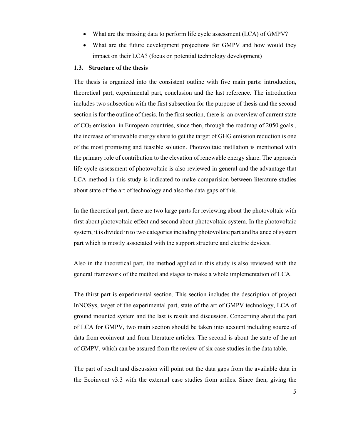- What are the missing data to perform life cycle assessment (LCA) of GMPV?
- What are the future development projections for GMPV and how would they impact on their LCA? (focus on potential technology development)

#### **1.3. Structure of the thesis**

The thesis is organized into the consistent outline with five main parts: introduction, theoretical part, experimental part, conclusion and the last reference. The introduction includes two subsection with the first subsection for the purpose of thesis and the second section is for the outline of thesis. In the first section, there is an overview of current state of CO2 emission in European countries, since then, through the roadmap of 2050 goals , the increase of renewable energy share to get the target of GHG emission reduction is one of the most promising and feasible solution. Photovoltaic instllation is mentioned with the primary role of contribution to the elevation of renewable energy share. The approach life cycle assessment of photovoltaic is also reviewed in general and the advantage that LCA method in this study is indicated to make comparision between literature studies about state of the art of technology and also the data gaps of this.

In the theoretical part, there are two large parts for reviewing about the photovoltaic with first about photovoltaic effect and second about photovoltaic system. In the photovoltaic system, it is divided in to two categories including photovoltaic part and balance of system part which is mostly associated with the support structure and electric devices.

Also in the theoretical part, the method applied in this study is also reviewed with the general framework of the method and stages to make a whole implementation of LCA.

The thirst part is experimental section. This section includes the description of project InNOSys, target of the experimental part, state of the art of GMPV technology, LCA of ground mounted system and the last is result and discussion. Concerning about the part of LCA for GMPV, two main section should be taken into account including source of data from ecoinvent and from literature articles. The second is about the state of the art of GMPV, which can be assured from the review of six case studies in the data table.

The part of result and discussion will point out the data gaps from the available data in the Ecoinvent v3.3 with the external case studies from artiles. Since then, giving the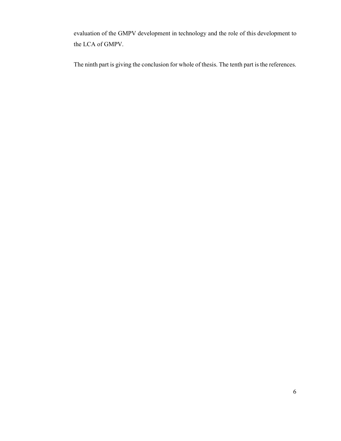evaluation of the GMPV development in technology and the role of this development to the LCA of GMPV.

The ninth part is giving the conclusion for whole of thesis. The tenth part is the references.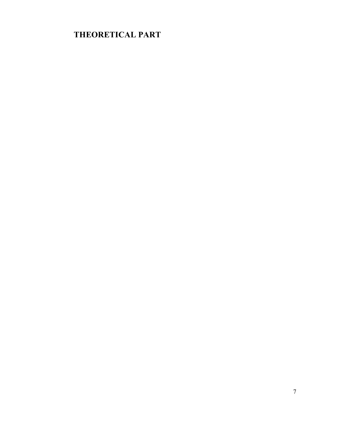## **THEORETICAL PART**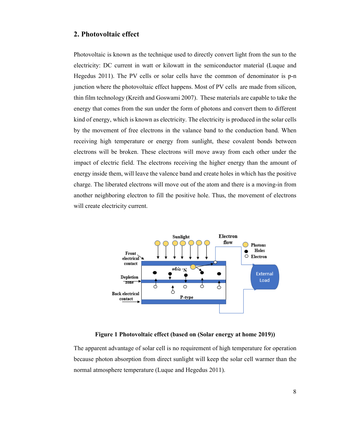#### **2. Photovoltaic effect**

Photovoltaic is known as the technique used to directly convert light from the sun to the electricity: DC current in watt or kilowatt in the semiconductor material (Luque and Hegedus 2011). The PV cells or solar cells have the common of denominator is p-n junction where the photovoltaic effect happens. Most of PV cells are made from silicon, thin film technology (Kreith and Goswami 2007). These materials are capable to take the energy that comes from the sun under the form of photons and convert them to different kind of energy, which is known as electricity. The electricity is produced in the solar cells by the movement of free electrons in the valance band to the conduction band. When receiving high temperature or energy from sunlight, these covalent bonds between electrons will be broken. These electrons will move away from each other under the impact of electric field. The electrons receiving the higher energy than the amount of energy inside them, will leave the valence band and create holes in which has the positive charge. The liberated electrons will move out of the atom and there is a moving-in from another neighboring electron to fill the positive hole. Thus, the movement of electrons will create electricity current.



**Figure 1 Photovoltaic effect (based on (Solar energy at home 2019))** 

The apparent advantage of solar cell is no requirement of high temperature for operation because photon absorption from direct sunlight will keep the solar cell warmer than the normal atmosphere temperature (Luque and Hegedus 2011).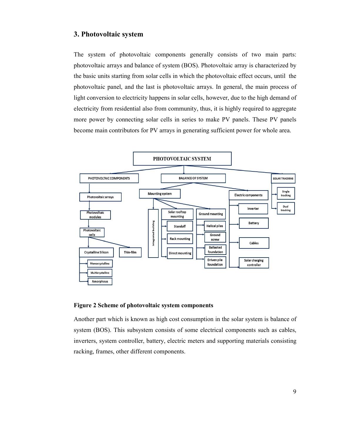#### **3. Photovoltaic system**

The system of photovoltaic components generally consists of two main parts: photovoltaic arrays and balance of system (BOS). Photovoltaic array is characterized by the basic units starting from solar cells in which the photovoltaic effect occurs, until the photovoltaic panel, and the last is photovoltaic arrays. In general, the main process of light conversion to electricity happens in solar cells, however, due to the high demand of electricity from residential also from community, thus, it is highly required to aggregate more power by connecting solar cells in series to make PV panels. These PV panels become main contributors for PV arrays in generating sufficient power for whole area.



#### **Figure 2 Scheme of photovoltaic system components**

Another part which is known as high cost consumption in the solar system is balance of system (BOS). This subsystem consists of some electrical components such as cables, inverters, system controller, battery, electric meters and supporting materials consisting racking, frames, other different components.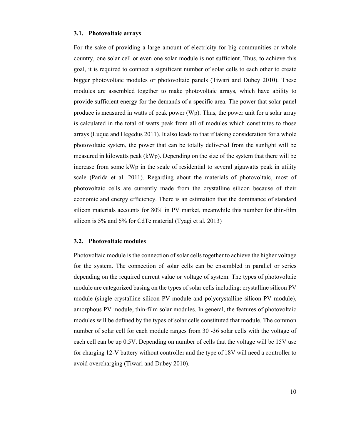#### **3.1. Photovoltaic arrays**

For the sake of providing a large amount of electricity for big communities or whole country, one solar cell or even one solar module is not sufficient. Thus, to achieve this goal, it is required to connect a significant number of solar cells to each other to create bigger photovoltaic modules or photovoltaic panels (Tiwari and Dubey 2010). These modules are assembled together to make photovoltaic arrays, which have ability to provide sufficient energy for the demands of a specific area. The power that solar panel produce is measured in watts of peak power (Wp). Thus, the power unit for a solar array is calculated in the total of watts peak from all of modules which constitutes to those arrays (Luque and Hegedus 2011). It also leads to that if taking consideration for a whole photovoltaic system, the power that can be totally delivered from the sunlight will be measured in kilowatts peak (kWp). Depending on the size of the system that there will be increase from some kWp in the scale of residential to several gigawatts peak in utility scale (Parida et al. 2011). Regarding about the materials of photovoltaic, most of photovoltaic cells are currently made from the crystalline silicon because of their economic and energy efficiency. There is an estimation that the dominance of standard silicon materials accounts for 80% in PV market, meanwhile this number for thin-film silicon is 5% and 6% for CdTe material (Tyagi et al. 2013)

#### **3.2. Photovoltaic modules**

Photovoltaic module is the connection of solar cells together to achieve the higher voltage for the system. The connection of solar cells can be ensembled in parallel or series depending on the required current value or voltage of system. The types of photovoltaic module are categorized basing on the types of solar cells including: crystalline silicon PV module (single crystalline silicon PV module and polycrystalline silicon PV module), amorphous PV module, thin-film solar modules. In general, the features of photovoltaic modules will be defined by the types of solar cells constituted that module. The common number of solar cell for each module ranges from 30 -36 solar cells with the voltage of each cell can be up 0.5V. Depending on number of cells that the voltage will be 15V use for charging 12-V battery without controller and the type of 18V will need a controller to avoid overcharging (Tiwari and Dubey 2010).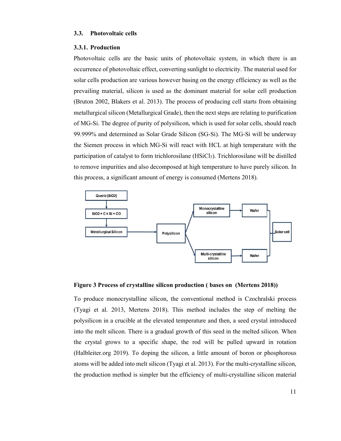#### **3.3. Photovoltaic cells**

#### **3.3.1. Production**

Photovoltaic cells are the basic units of photovoltaic system, in which there is an occurrence of photovoltaic effect, converting sunlight to electricity. The material used for solar cells production are various however basing on the energy efficiency as well as the prevailing material, silicon is used as the dominant material for solar cell production (Bruton 2002, Blakers et al. 2013). The process of producing cell starts from obtaining metallurgical silicon (Metallurgical Grade), then the next steps are relating to purification of MG-Si. The degree of purity of polysilicon, which is used for solar cells, should reach 99.999% and determined as Solar Grade Silicon (SG-Si). The MG-Si will be underway the Siemen process in which MG-Si will react with HCL at high temperature with the participation of catalyst to form trichlorosilane (HSiCl<sub>3</sub>). Trichlorosilane will be distilled to remove impurities and also decomposed at high temperature to have purely silicon. In this process, a significant amount of energy is consumed (Mertens 2018).



**Figure 3 Process of crystalline silicon production ( bases on (Mertens 2018))** 

To produce monocrystalline silicon, the conventional method is Czochralski process (Tyagi et al. 2013, Mertens 2018). This method includes the step of melting the polysilicon in a crucible at the elevated temperature and then, a seed crystal introduced into the melt silicon. There is a gradual growth of this seed in the melted silicon. When the crystal grows to a specific shape, the rod will be pulled upward in rotation (Halbleiter.org 2019). To doping the silicon, a little amount of boron or phosphorous atoms will be added into melt silicon (Tyagi et al. 2013). For the multi-crystalline silicon, the production method is simpler but the efficiency of multi-crystalline silicon material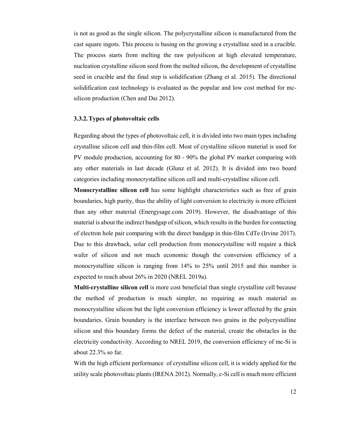is not as good as the single silicon. The polycrystalline silicon is manufactured from the cast square ingots. This process is basing on the growing a crystalline seed in a crucible. The process starts from melting the raw polysilicon at high elevated temperature, nucleation crystalline silicon seed from the melted silicon, the development of crystalline seed in crucible and the final step is solidification (Zhang et al. 2015). The directional solidification cast technology is evaluated as the popular and low cost method for mcsilicon production (Chen and Dai 2012).

#### **3.3.2.Types of photovoltaic cells**

Regarding about the types of photovoltaic cell, it is divided into two main types including crystalline silicon cell and thin-film cell. Most of crystalline silicon material is used for PV module production, accounting for 80 - 90% the global PV market comparing with any other materials in last decade (Glunz et al. 2012). It is divided into two board categories including monocrystalline silicon cell and multi-crystalline silicon cell.

**Monocrystalline silicon cell** has some highlight characteristics such as free of grain boundaries, high purity, thus the ability of light conversion to electricity is more efficient than any other material (Energysage.com 2019). However, the disadvantage of this material is about the indirect bandgap of silicon, which results in the burden for contacting of electron hole pair comparing with the direct bandgap in thin-film CdTe (Irvine 2017). Due to this drawback, solar cell production from monocrystalline will require a thick wafer of silicon and not much economic though the conversion efficiency of a monocrystalline silicon is ranging from 14% to 25% until 2015 and this number is expected to reach about 26% in 2020 (NREL 2019a).

**Multi-crystalline silicon cell** is more cost beneficial than single crystalline cell because the method of production is much simpler, no requiring as much material as monocrystalline silicon but the light conversion efficiency is lower affected by the grain boundaries. Grain boundary is the interface between two grains in the polycrystalline silicon and this boundary forms the defect of the material, create the obstacles in the electricity conductivity. According to NREL 2019, the conversion efficiency of mc-Si is about 22.3% so far.

With the high efficient performance of crystalline silicon cell, it is widely applied for the utility scale photovoltaic plants (IRENA 2012). Normally, c-Si cell is much more efficient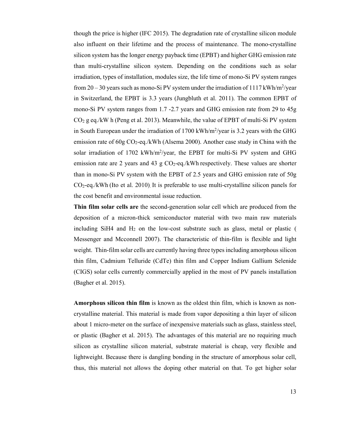though the price is higher (IFC 2015). The degradation rate of crystalline silicon module also influent on their lifetime and the process of maintenance. The mono-crystalline silicon system has the longer energy payback time (EPBT) and higher GHG emission rate than multi-crystalline silicon system. Depending on the conditions such as solar irradiation, types of installation, modules size, the life time of mono-Si PV system ranges from  $20 - 30$  years such as mono-Si PV system under the irradiation of  $1117$  kWh/m<sup>2</sup>/year in Switzerland, the EPBT is 3.3 years (Jungbluth et al. 2011). The common EPBT of mono-Si PV system ranges from 1.7 -2.7 years and GHG emission rate from 29 to 45g  $CO<sub>2</sub>$  g eq./kW h (Peng et al. 2013). Meanwhile, the value of EPBT of multi-Si PV system in South European under the irradiation of 1700 kWh/m<sup>2</sup>/year is 3.2 years with the GHG emission rate of  $60g\text{ CO}_2$ -eq./kWh (Alsema 2000). Another case study in China with the solar irradiation of 1702 kWh/m<sup>2</sup>/year, the EPBT for multi-Si PV system and GHG emission rate are 2 years and 43 g  $CO<sub>2</sub>$ -eq./kWh respectively. These values are shorter than in mono-Si PV system with the EPBT of 2.5 years and GHG emission rate of 50g  $CO<sub>2</sub>$ -eq./kWh (Ito et al. 2010). It is preferable to use multi-crystalline silicon panels for the cost benefit and environmental issue reduction.

**Thin film solar cells are** the second-generation solar cell which are produced from the deposition of a micron-thick semiconductor material with two main raw materials including SiH4 and  $H_2$  on the low-cost substrate such as glass, metal or plastic ( Messenger and Mcconnell 2007). The characteristic of thin-film is flexible and light weight. Thin-film solar cells are currently having three types including amorphous silicon thin film, Cadmium Telluride (CdTe) thin film and Copper Indium Gallium Selenide (CIGS) solar cells currently commercially applied in the most of PV panels installation (Bagher et al. 2015).

**Amorphous silicon thin film** is known as the oldest thin film, which is known as noncrystalline material. This material is made from vapor depositing a thin layer of silicon about 1 micro-meter on the surface of inexpensive materials such as glass, stainless steel, or plastic (Bagher et al. 2015). The advantages of this material are no requiring much silicon as crystalline silicon material, substrate material is cheap, very flexible and lightweight. Because there is dangling bonding in the structure of amorphous solar cell, thus, this material not allows the doping other material on that. To get higher solar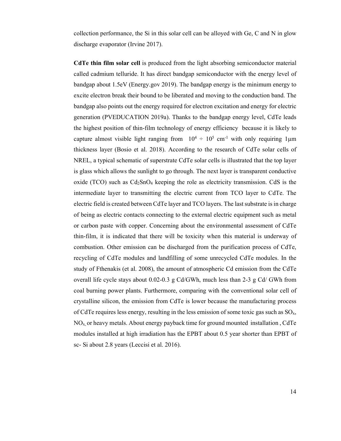collection performance, the Si in this solar cell can be alloyed with Ge, C and N in glow discharge evaporator (Irvine 2017).

**CdTe thin film solar cell** is produced from the light absorbing semiconductor material called cadmium telluride. It has direct bandgap semiconductor with the energy level of bandgap about 1.5eV (Energy.gov 2019). The bandgap energy is the minimum energy to excite electron break their bound to be liberated and moving to the conduction band. The bandgap also points out the energy required for electron excitation and energy for electric generation (PVEDUCATION 2019a). Thanks to the bandgap energy level, CdTe leads the highest position of thin-film technology of energy efficiency because it is likely to capture almost visible light ranging from  $10^4 \div 10^5$  cm<sup>-1</sup> with only requiring 1 µm thickness layer (Bosio et al. 2018). According to the research of CdTe solar cells of NREL, a typical schematic of superstrate CdTe solar cells is illustrated that the top layer is glass which allows the sunlight to go through. The next layer is transparent conductive oxide (TCO) such as  $Cd_2SnO_4$  keeping the role as electricity transmission. CdS is the intermediate layer to transmitting the electric current from TCO layer to CdTe. The electric field is created between CdTe layer and TCO layers. The last substrate is in charge of being as electric contacts connecting to the external electric equipment such as metal or carbon paste with copper. Concerning about the environmental assessment of CdTe thin-film, it is indicated that there will be toxicity when this material is underway of combustion. Other emission can be discharged from the purification process of CdTe, recycling of CdTe modules and landfilling of some unrecycled CdTe modules. In the study of Fthenakis (et al. 2008), the amount of atmospheric Cd emission from the CdTe overall life cycle stays about 0.02-0.3 g Cd/GWh, much less than 2-3 g Cd/ GWh from coal burning power plants. Furthermore, comparing with the conventional solar cell of crystalline silicon, the emission from CdTe is lower because the manufacturing process of CdTe requires less energy, resulting in the less emission of some toxic gas such as  $SO<sub>x</sub>$ ,  $NO<sub>x</sub>$ , or heavy metals. About energy payback time for ground mounted installation, CdTe modules installed at high irradiation has the EPBT about 0.5 year shorter than EPBT of sc- Si about 2.8 years (Leccisi et al. 2016).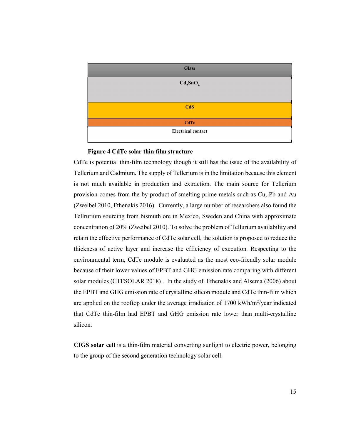

#### **Figure 4 CdTe solar thin film structure**

CdTe is potential thin-film technology though it still has the issue of the availability of Tellerium and Cadmium. The supply of Tellerium is in the limitation because this element is not much available in production and extraction. The main source for Tellerium provision comes from the by-product of smelting prime metals such as Cu, Pb and Au (Zweibel 2010, Fthenakis 2016). Currently, a large number of researchers also found the Tellrurium sourcing from bismuth ore in Mexico, Sweden and China with approximate concentration of 20% (Zweibel 2010). To solve the problem of Tellurium availability and retain the effective performance of CdTe solar cell, the solution is proposed to reduce the thickness of active layer and increase the efficiency of execution. Respecting to the environmental term, CdTe module is evaluated as the most eco-friendly solar module because of their lower values of EPBT and GHG emission rate comparing with different solar modules (CTFSOLAR 2018) . In the study of Fthenakis and Alsema (2006) about the EPBT and GHG emission rate of crystalline silicon module and CdTe thin-film which are applied on the rooftop under the average irradiation of 1700 kWh/m<sup>2</sup>/year indicated that CdTe thin-film had EPBT and GHG emission rate lower than multi-crystalline silicon.

**CIGS solar cell** is a thin-film material converting sunlight to electric power, belonging to the group of the second generation technology solar cell.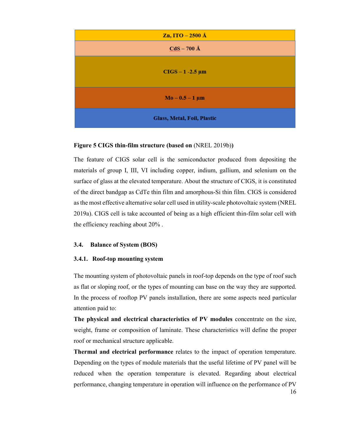| Zn, ITO $-2500 \text{ Å}$   |
|-----------------------------|
| $CdS - 700 \text{ Å}$       |
| $CIGS - 1 - 2.5 \mu m$      |
| $Mo - 0.5 - 1 \mu m$        |
| Glass, Metal, Foil, Plastic |

#### **Figure 5 CIGS thin-film structure (based on** (NREL 2019b)**)**

The feature of CIGS solar cell is the semiconductor produced from depositing the materials of group I, III, VI including copper, indium, gallium, and selenium on the surface of glass at the elevated temperature. About the structure of CIGS, it is constituted of the direct bandgap as CdTe thin film and amorphous-Si thin film. CIGS is considered as the most effective alternative solar cell used in utility-scale photovoltaic system (NREL 2019a). CIGS cell is take accounted of being as a high efficient thin-film solar cell with the efficiency reaching about 20% .

#### **3.4. Balance of System (BOS)**

#### **3.4.1. Roof-top mounting system**

The mounting system of photovoltaic panels in roof-top depends on the type of roof such as flat or sloping roof, or the types of mounting can base on the way they are supported. In the process of rooftop PV panels installation, there are some aspects need particular attention paid to:

**The physical and electrical characteristics of PV modules** concentrate on the size, weight, frame or composition of laminate. These characteristics will define the proper roof or mechanical structure applicable.

16 **Thermal and electrical performance** relates to the impact of operation temperature. Depending on the types of module materials that the useful lifetime of PV panel will be reduced when the operation temperature is elevated. Regarding about electrical performance, changing temperature in operation will influence on the performance of PV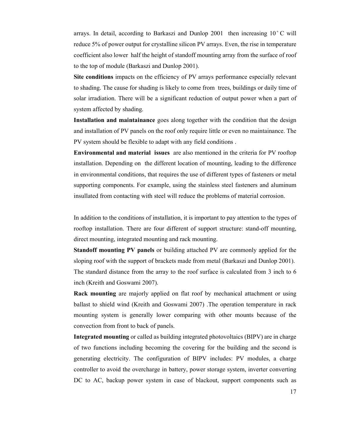arrays. In detail, according to Barkaszi and Dunlop  $2001$  then increasing  $10^{\circ}$ C will reduce 5% of power output for crystalline silicon PV arrays. Even, the rise in temperature coefficient also lower half the height of standoff mounting array from the surface of roof to the top of module (Barkaszi and Dunlop 2001).

**Site conditions** impacts on the efficiency of PV arrays performance especially relevant to shading. The cause for shading is likely to come from trees, buildings or daily time of solar irradiation. There will be a significant reduction of output power when a part of system affected by shading.

**Installation and maintainance** goes along together with the condition that the design and installation of PV panels on the roof only require little or even no maintainance. The PV system should be flexible to adapt with any field conditions .

**Environmental and material issues** are also mentioned in the criteria for PV rooftop installation. Depending on the different location of mounting, leading to the difference in environmental conditions, that requires the use of different types of fasteners or metal supporting components. For example, using the stainless steel fasteners and aluminum insullated from contacting with steel will reduce the problems of material corrosion.

In addition to the conditions of installation, it is important to pay attention to the types of rooftop installation. There are four different of support structure: stand-off mounting, direct mounting, integrated mounting and rack mounting.

**Standoff mounting PV panels** or building attached PV are commonly applied for the sloping roof with the support of brackets made from metal (Barkaszi and Dunlop 2001). The standard distance from the array to the roof surface is calculated from 3 inch to 6 inch (Kreith and Goswami 2007).

**Rack mounting** are majorly applied on flat roof by mechanical attachment or using ballast to shield wind (Kreith and Goswami 2007) .The operation temperature in rack mounting system is generally lower comparing with other mounts because of the convection from front to back of panels.

**Integrated mounting** or called as building integrated photovoltaics (BIPV) are in charge of two functions including becoming the covering for the building and the second is generating electricity. The configuration of BIPV includes: PV modules, a charge controller to avoid the overcharge in battery, power storage system, inverter converting DC to AC, backup power system in case of blackout, support components such as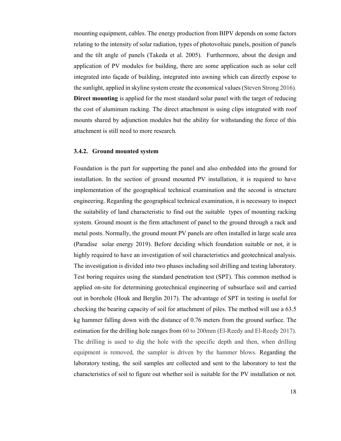mounting equipment, cables. The energy production from BIPV depends on some factors relating to the intensity of solar radiation, types of photovoltaic panels, position of panels and the tilt angle of panels (Takeda et al. 2005). Furthermore, about the design and application of PV modules for building, there are some application such as solar cell integrated into façade of building, integrated into awning which can directly expose to the sunlight, applied in skyline system create the economical values (Steven Strong 2016)*.* **Direct mounting** is applied for the most standard solar panel with the target of reducing the cost of aluminum racking. The direct attachment is using clips integrated with roof mounts shared by adjunction modules but the ability for withstanding the force of this attachment is still need to more research.

#### **3.4.2. Ground mounted system**

Foundation is the part for supporting the panel and also embedded into the ground for installation. In the section of ground mounted PV installation, it is required to have implementation of the geographical technical examination and the second is structure engineering. Regarding the geographical technical examination, it is necessary to inspect the suitability of land characteristic to find out the suitable types of mounting racking system. Ground mount is the firm attachment of panel to the ground through a rack and metal posts. Normally, the ground mount PV panels are often installed in large scale area (Paradise solar energy 2019). Before deciding which foundation suitable or not, it is highly required to have an investigation of soil characteristics and geotechnical analysis. The investigation is divided into two phases including soil drilling and testing laboratory. Test boring requires using the standard penetration test (SPT). This common method is applied on-site for determining geotechnical engineering of subsurface soil and carried out in borehole (Houk and Berglin 2017). The advantage of SPT in testing is useful for checking the bearing capacity of soil for attachment of piles. The method will use a 63.5 kg hammer falling down with the distance of 0.76 meters from the ground surface. The estimation for the drilling hole ranges from 60 to 200mm (El-Reedy and El-Reedy 2017). The drilling is used to dig the hole with the specific depth and then, when drilling equipment is removed, the sampler is driven by the hammer blows. Regarding the laboratory testing, the soil samples are collected and sent to the laboratory to test the characteristics of soil to figure out whether soil is suitable for the PV installation or not.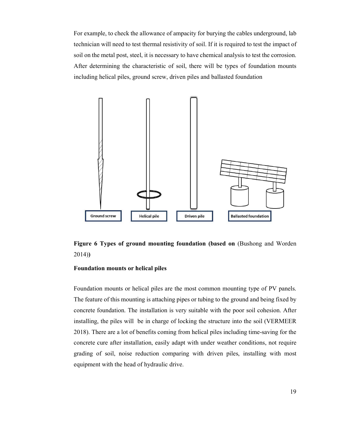For example, to check the allowance of ampacity for burying the cables underground, lab technician will need to test thermal resistivity of soil. If it is required to test the impact of soil on the metal post, steel, it is necessary to have chemical analysis to test the corrosion. After determining the characteristic of soil, there will be types of foundation mounts including helical piles, ground screw, driven piles and ballasted foundation



**Figure 6 Types of ground mounting foundation (based on (Bushong and Worden)** 2014)**)** 

#### **Foundation mounts or helical piles**

Foundation mounts or helical piles are the most common mounting type of PV panels. The feature of this mounting is attaching pipes or tubing to the ground and being fixed by concrete foundation. The installation is very suitable with the poor soil cohesion. After installing, the piles will be in charge of locking the structure into the soil (VERMEER 2018). There are a lot of benefits coming from helical piles including time-saving for the concrete cure after installation, easily adapt with under weather conditions, not require grading of soil, noise reduction comparing with driven piles, installing with most equipment with the head of hydraulic drive.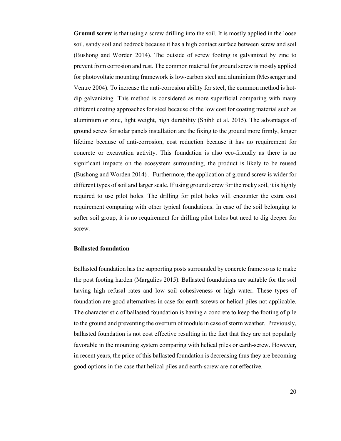**Ground screw** is that using a screw drilling into the soil. It is mostly applied in the loose soil, sandy soil and bedrock because it has a high contact surface between screw and soil (Bushong and Worden 2014). The outside of screw footing is galvanized by zinc to prevent from corrosion and rust. The common material for ground screw is mostly applied for photovoltaic mounting framework is low-carbon steel and aluminium (Messenger and Ventre 2004). To increase the anti-corrosion ability for steel, the common method is hotdip galvanizing. This method is considered as more superficial comparing with many different coating approaches for steel because of the low cost for coating material such as aluminium or zinc, light weight, high durability (Shibli et al. 2015). The advantages of ground screw for solar panels installation are the fixing to the ground more firmly, longer lifetime because of anti-corrosion, cost reduction because it has no requirement for concrete or excavation activity. This foundation is also eco-friendly as there is no significant impacts on the ecosystem surrounding, the product is likely to be reused (Bushong and Worden 2014) . Furthermore, the application of ground screw is wider for different types of soil and larger scale. If using ground screw for the rocky soil, it is highly required to use pilot holes. The drilling for pilot holes will encounter the extra cost requirement comparing with other typical foundations. In case of the soil belonging to softer soil group, it is no requirement for drilling pilot holes but need to dig deeper for screw.

#### **Ballasted foundation**

Ballasted foundation has the supporting posts surrounded by concrete frame so as to make the post footing harden (Margulies 2015). Ballasted foundations are suitable for the soil having high refusal rates and low soil cohesiveness or high water. These types of foundation are good alternatives in case for earth-screws or helical piles not applicable. The characteristic of ballasted foundation is having a concrete to keep the footing of pile to the ground and preventing the overturn of module in case of storm weather. Previously, ballasted foundation is not cost effective resulting in the fact that they are not popularly favorable in the mounting system comparing with helical piles or earth-screw. However, in recent years, the price of this ballasted foundation is decreasing thus they are becoming good options in the case that helical piles and earth-screw are not effective.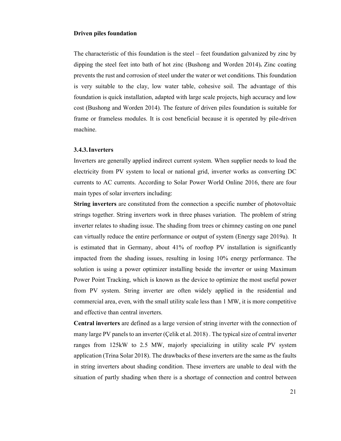#### **Driven piles foundation**

The characteristic of this foundation is the steel – feet foundation galvanized by zinc by dipping the steel feet into bath of hot zinc (Bushong and Worden 2014)**.** Zinc coating prevents the rust and corrosion of steel under the water or wet conditions. This foundation is very suitable to the clay, low water table, cohesive soil. The advantage of this foundation is quick installation, adapted with large scale projects, high accuracy and low cost (Bushong and Worden 2014). The feature of driven piles foundation is suitable for frame or frameless modules. It is cost beneficial because it is operated by pile-driven machine.

#### **3.4.3.Inverters**

Inverters are generally applied indirect current system. When supplier needs to load the electricity from PV system to local or national grid, inverter works as converting DC currents to AC currents. According to Solar Power World Online 2016, there are four main types of solar inverters including:

**String inverters** are constituted from the connection a specific number of photovoltaic strings together. String inverters work in three phases variation. The problem of string inverter relates to shading issue. The shading from trees or chimney casting on one panel can virtually reduce the entire performance or output of system (Energy sage 2019a). It is estimated that in Germany, about 41% of rooftop PV installation is significantly impacted from the shading issues, resulting in losing 10% energy performance. The solution is using a power optimizer installing beside the inverter or using Maximum Power Point Tracking, which is known as the device to optimize the most useful power from PV system. String inverter are often widely applied in the residential and commercial area, even, with the small utility scale less than 1 MW, it is more competitive and effective than central inverters.

**Central inverters** are defined as a large version of string inverter with the connection of many large PV panels to an inverter (Çelik et al. 2018) . The typical size of central inverter ranges from 125kW to 2.5 MW, majorly specializing in utility scale PV system application (Trina Solar 2018). The drawbacks of these inverters are the same as the faults in string inverters about shading condition. These inverters are unable to deal with the situation of partly shading when there is a shortage of connection and control between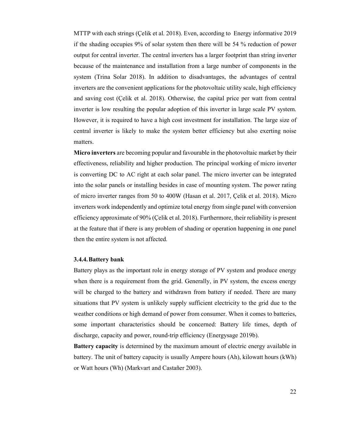MTTP with each strings (Çelik et al. 2018). Even, according to Energy informative 2019 if the shading occupies 9% of solar system then there will be 54 % reduction of power output for central inverter. The central inverters has a larger footprint than string inverter because of the maintenance and installation from a large number of components in the system (Trina Solar 2018). In addition to disadvantages, the advantages of central inverters are the convenient applications for the photovoltaic utility scale, high efficiency and saving cost (Çelik et al. 2018). Otherwise, the capital price per watt from central inverter is low resulting the popular adoption of this inverter in large scale PV system. However, it is required to have a high cost investment for installation. The large size of central inverter is likely to make the system better efficiency but also exerting noise matters.

**Micro inverters** are becoming popular and favourable in the photovoltaic market by their effectiveness, reliability and higher production. The principal working of micro inverter is converting DC to AC right at each solar panel. The micro inverter can be integrated into the solar panels or installing besides in case of mounting system. The power rating of micro inverter ranges from 50 to 400W (Hasan et al. 2017, Çelik et al. 2018). Micro inverters work independently and optimize total energy from single panel with conversion efficiency approximate of 90% (Çelik et al. 2018). Furthermore, their reliability is present at the feature that if there is any problem of shading or operation happening in one panel then the entire system is not affected.

#### **3.4.4.Battery bank**

Battery plays as the important role in energy storage of PV system and produce energy when there is a requirement from the grid. Generally, in PV system, the excess energy will be charged to the battery and withdrawn from battery if needed. There are many situations that PV system is unlikely supply sufficient electricity to the grid due to the weather conditions or high demand of power from consumer. When it comes to batteries, some important characteristics should be concerned: Battery life times, depth of discharge, capacity and power, round-trip efficiency (Energysage 2019b).

**Battery capacity** is determined by the maximum amount of electric energy available in battery. The unit of battery capacity is usually Ampere hours (Ah), kilowatt hours (kWh) or Watt hours (Wh) (Markvart and Castañer 2003).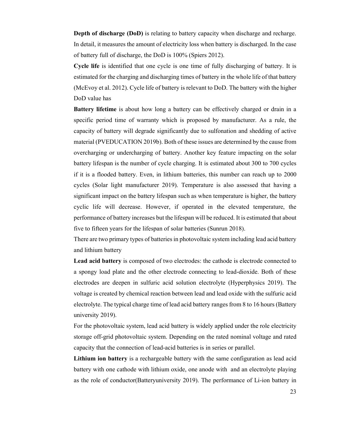**Depth of discharge (DoD)** is relating to battery capacity when discharge and recharge. In detail, it measures the amount of electricity loss when battery is discharged. In the case of battery full of discharge, the DoD is 100% (Spiers 2012).

**Cycle life** is identified that one cycle is one time of fully discharging of battery. It is estimated for the charging and discharging times of battery in the whole life of that battery (McEvoy et al. 2012). Cycle life of battery is relevant to DoD. The battery with the higher DoD value has

**Battery lifetime** is about how long a battery can be effectively charged or drain in a specific period time of warranty which is proposed by manufacturer. As a rule, the capacity of battery will degrade significantly due to sulfonation and shedding of active material (PVEDUCATION 2019b). Both of these issues are determined by the cause from overcharging or undercharging of battery. Another key feature impacting on the solar battery lifespan is the number of cycle charging. It is estimated about 300 to 700 cycles if it is a flooded battery. Even, in lithium batteries, this number can reach up to 2000 cycles (Solar light manufacturer 2019). Temperature is also assessed that having a significant impact on the battery lifespan such as when temperature is higher, the battery cyclic life will decrease. However, if operated in the elevated temperature, the performance of battery increases but the lifespan will be reduced. It is estimated that about five to fifteen years for the lifespan of solar batteries (Sunrun 2018).

There are two primary types of batteries in photovoltaic system including lead acid battery and lithium battery

**Lead acid battery** is composed of two electrodes: the cathode is electrode connected to a spongy load plate and the other electrode connecting to lead-dioxide. Both of these electrodes are deepen in sulfuric acid solution electrolyte (Hyperphysics 2019). The voltage is created by chemical reaction between lead and lead oxide with the sulfuric acid electrolyte. The typical charge time of lead acid battery ranges from 8 to 16 hours (Battery university 2019).

For the photovoltaic system, lead acid battery is widely applied under the role electricity storage off-grid photovoltaic system. Depending on the rated nominal voltage and rated capacity that the connection of lead-acid batteries is in series or parallel.

**Lithium ion battery** is a rechargeable battery with the same configuration as lead acid battery with one cathode with lithium oxide, one anode with and an electrolyte playing as the role of conductor(Batteryuniversity 2019). The performance of Li-ion battery in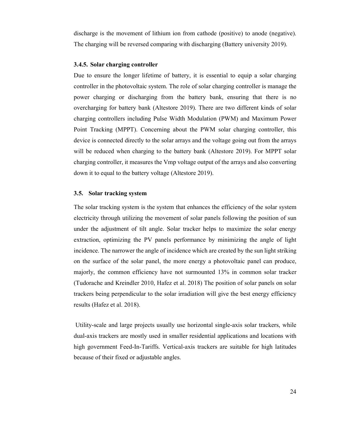discharge is the movement of lithium ion from cathode (positive) to anode (negative). The charging will be reversed comparing with discharging (Battery university 2019).

#### **3.4.5. Solar charging controller**

Due to ensure the longer lifetime of battery, it is essential to equip a solar charging controller in the photovoltaic system. The role of solar charging controller is manage the power charging or discharging from the battery bank, ensuring that there is no overcharging for battery bank (Altestore 2019). There are two different kinds of solar charging controllers including Pulse Width Modulation (PWM) and Maximum Power Point Tracking (MPPT). Concerning about the PWM solar charging controller, this device is connected directly to the solar arrays and the voltage going out from the arrays will be reduced when charging to the battery bank (Altestore 2019). For MPPT solar charging controller, it measures the Vmp voltage output of the arrays and also converting down it to equal to the battery voltage (Altestore 2019).

#### **3.5. Solar tracking system**

The solar tracking system is the system that enhances the efficiency of the solar system electricity through utilizing the movement of solar panels following the position of sun under the adjustment of tilt angle. Solar tracker helps to maximize the solar energy extraction, optimizing the PV panels performance by minimizing the angle of light incidence. The narrower the angle of incidence which are created by the sun light striking on the surface of the solar panel, the more energy a photovoltaic panel can produce, majorly, the common efficiency have not surmounted 13% in common solar tracker (Tudorache and Kreindler 2010, Hafez et al. 2018) The position of solar panels on solar trackers being perpendicular to the solar irradiation will give the best energy efficiency results (Hafez et al. 2018).

 Utility-scale and large projects usually use horizontal single-axis solar trackers, while dual-axis trackers are mostly used in smaller residential applications and locations with high government Feed-In-Tariffs. Vertical-axis trackers are suitable for high latitudes because of their fixed or adjustable angles.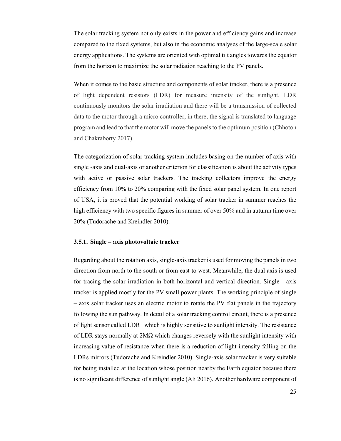The solar tracking system not only exists in the power and efficiency gains and increase compared to the fixed systems, but also in the economic analyses of the large-scale solar energy applications. The systems are oriented with optimal tilt angles towards the equator from the horizon to maximize the solar radiation reaching to the PV panels.

When it comes to the basic structure and components of solar tracker, there is a presence of light dependent resistors (LDR) for measure intensity of the sunlight. LDR continuously monitors the solar irradiation and there will be a transmission of collected data to the motor through a micro controller, in there, the signal is translated to language program and lead to that the motor will move the panels to the optimum position (Chhoton and Chakraborty 2017).

The categorization of solar tracking system includes basing on the number of axis with single -axis and dual-axis or another criterion for classification is about the activity types with active or passive solar trackers. The tracking collectors improve the energy efficiency from 10% to 20% comparing with the fixed solar panel system. In one report of USA, it is proved that the potential working of solar tracker in summer reaches the high efficiency with two specific figures in summer of over 50% and in autumn time over 20% (Tudorache and Kreindler 2010).

#### **3.5.1. Single – axis photovoltaic tracker**

Regarding about the rotation axis, single-axis tracker is used for moving the panels in two direction from north to the south or from east to west. Meanwhile, the dual axis is used for tracing the solar irradiation in both horizontal and vertical direction. Single - axis tracker is applied mostly for the PV small power plants. The working principle of single – axis solar tracker uses an electric motor to rotate the PV flat panels in the trajectory following the sun pathway. In detail of a solar tracking control circuit, there is a presence of light sensor called LDR which is highly sensitive to sunlight intensity. The resistance of LDR stays normally at  $2M\Omega$  which changes reversely with the sunlight intensity with increasing value of resistance when there is a reduction of light intensity falling on the LDRs mirrors (Tudorache and Kreindler 2010). Single-axis solar tracker is very suitable for being installed at the location whose position nearby the Earth equator because there is no significant difference of sunlight angle (Ali 2016). Another hardware component of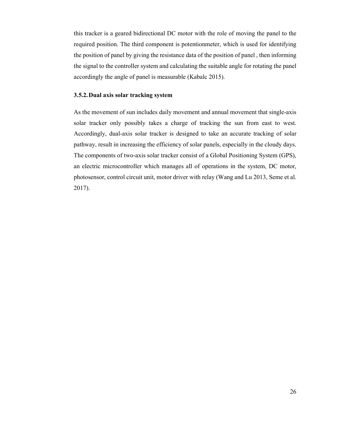this tracker is a geared bidirectional DC motor with the role of moving the panel to the required position. The third component is potentionmeter, which is used for identifying the position of panel by giving the resistance data of the position of panel , then informing the signal to the controller system and calculating the suitable angle for rotating the panel accordingly the angle of panel is measurable (Kabalc 2015).

## **3.5.2.Dual axis solar tracking system**

As the movement of sun includes daily movement and annual movement that single-axis solar tracker only possibly takes a charge of tracking the sun from east to west. Accordingly, dual-axis solar tracker is designed to take an accurate tracking of solar pathway, result in increasing the efficiency of solar panels, especially in the cloudy days. The components of two-axis solar tracker consist of a Global Positioning System (GPS), an electric microcontroller which manages all of operations in the system, DC motor, photosensor, control circuit unit, motor driver with relay (Wang and Lu 2013, Seme et al. 2017).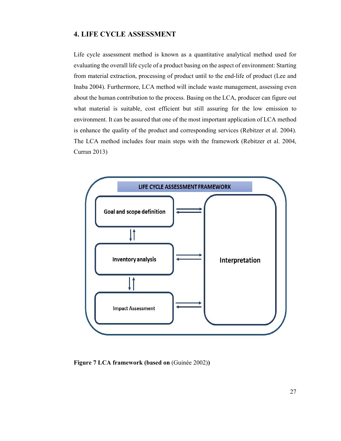## **4. LIFE CYCLE ASSESSMENT**

Life cycle assessment method is known as a quantitative analytical method used for evaluating the overall life cycle of a product basing on the aspect of environment: Starting from material extraction, processing of product until to the end-life of product (Lee and Inaba 2004). Furthermore, LCA method will include waste management, assessing even about the human contribution to the process. Basing on the LCA, producer can figure out what material is suitable, cost efficient but still assuring for the low emission to environment. It can be assured that one of the most important application of LCA method is enhance the quality of the product and corresponding services (Rebitzer et al. 2004). The LCA method includes four main steps with the framework (Rebitzer et al. 2004, Curran 2013)



**Figure 7 LCA framework (based on** (Guinée 2002)**)**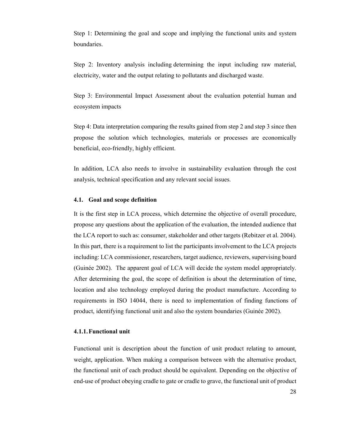Step 1: Determining the goal and scope and implying the functional units and system boundaries.

Step 2: Inventory analysis including determining the input including raw material, electricity, water and the output relating to pollutants and discharged waste.

Step 3: Environmental Impact Assessment about the evaluation potential human and ecosystem impacts

Step 4: Data interpretation comparing the results gained from step 2 and step 3 since then propose the solution which technologies, materials or processes are economically beneficial, eco-friendly, highly efficient.

In addition, LCA also needs to involve in sustainability evaluation through the cost analysis, technical specification and any relevant social issues.

#### **4.1. Goal and scope definition**

It is the first step in LCA process, which determine the objective of overall procedure, propose any questions about the application of the evaluation, the intended audience that the LCA report to such as: consumer, stakeholder and other targets (Rebitzer et al. 2004). In this part, there is a requirement to list the participants involvement to the LCA projects including: LCA commissioner, researchers, target audience, reviewers, supervising board (Guinée 2002). The apparent goal of LCA will decide the system model appropriately. After determining the goal, the scope of definition is about the determination of time, location and also technology employed during the product manufacture. According to requirements in ISO 14044, there is need to implementation of finding functions of product, identifying functional unit and also the system boundaries (Guinée 2002).

#### **4.1.1.Functional unit**

Functional unit is description about the function of unit product relating to amount, weight, application. When making a comparison between with the alternative product, the functional unit of each product should be equivalent. Depending on the objective of end-use of product obeying cradle to gate or cradle to grave, the functional unit of product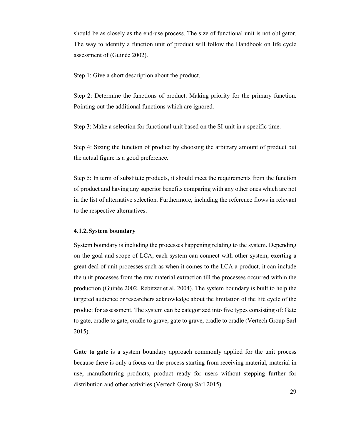should be as closely as the end-use process. The size of functional unit is not obligator. The way to identify a function unit of product will follow the Handbook on life cycle assessment of (Guinée 2002).

Step 1: Give a short description about the product.

Step 2: Determine the functions of product. Making priority for the primary function. Pointing out the additional functions which are ignored.

Step 3: Make a selection for functional unit based on the SI-unit in a specific time.

Step 4: Sizing the function of product by choosing the arbitrary amount of product but the actual figure is a good preference.

Step 5: In term of substitute products, it should meet the requirements from the function of product and having any superior benefits comparing with any other ones which are not in the list of alternative selection. Furthermore, including the reference flows in relevant to the respective alternatives.

#### **4.1.2.System boundary**

System boundary is including the processes happening relating to the system. Depending on the goal and scope of LCA, each system can connect with other system, exerting a great deal of unit processes such as when it comes to the LCA a product, it can include the unit processes from the raw material extraction till the processes occurred within the production (Guinée 2002, Rebitzer et al. 2004). The system boundary is built to help the targeted audience or researchers acknowledge about the limitation of the life cycle of the product for assessment. The system can be categorized into five types consisting of: Gate to gate, cradle to gate, cradle to grave, gate to grave, cradle to cradle (Vertech Group Sarl 2015).

**Gate to gate** is a system boundary approach commonly applied for the unit process because there is only a focus on the process starting from receiving material, material in use, manufacturing products, product ready for users without stepping further for distribution and other activities (Vertech Group Sarl 2015).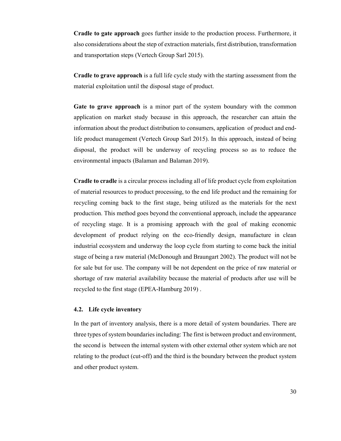**Cradle to gate approach** goes further inside to the production process. Furthermore, it also considerations about the step of extraction materials, first distribution, transformation and transportation steps (Vertech Group Sarl 2015).

**Cradle to grave approach** is a full life cycle study with the starting assessment from the material exploitation until the disposal stage of product.

**Gate to grave approach** is a minor part of the system boundary with the common application on market study because in this approach, the researcher can attain the information about the product distribution to consumers, application of product and endlife product management (Vertech Group Sarl 2015). In this approach, instead of being disposal, the product will be underway of recycling process so as to reduce the environmental impacts (Balaman and Balaman 2019).

**Cradle to cradle** is a circular process including all of life product cycle from exploitation of material resources to product processing, to the end life product and the remaining for recycling coming back to the first stage, being utilized as the materials for the next production. This method goes beyond the conventional approach, include the appearance of recycling stage. It is a promising approach with the goal of making economic development of product relying on the eco-friendly design, manufacture in clean industrial ecosystem and underway the loop cycle from starting to come back the initial stage of being a raw material (McDonough and Braungart 2002). The product will not be for sale but for use. The company will be not dependent on the price of raw material or shortage of raw material availability because the material of products after use will be recycled to the first stage (EPEA-Hamburg 2019) .

## **4.2. Life cycle inventory**

In the part of inventory analysis, there is a more detail of system boundaries. There are three types of system boundaries including: The first is between product and environment, the second is between the internal system with other external other system which are not relating to the product (cut-off) and the third is the boundary between the product system and other product system.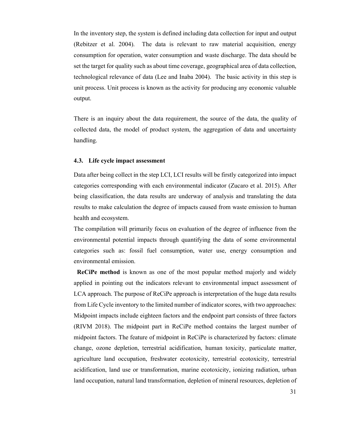In the inventory step, the system is defined including data collection for input and output (Rebitzer et al. 2004). The data is relevant to raw material acquisition, energy consumption for operation, water consumption and waste discharge. The data should be set the target for quality such as about time coverage, geographical area of data collection, technological relevance of data (Lee and Inaba 2004). The basic activity in this step is unit process. Unit process is known as the activity for producing any economic valuable output.

There is an inquiry about the data requirement, the source of the data, the quality of collected data, the model of product system, the aggregation of data and uncertainty handling.

#### **4.3. Life cycle impact assessment**

Data after being collect in the step LCI, LCI results will be firstly categorized into impact categories corresponding with each environmental indicator (Zucaro et al. 2015). After being classification, the data results are underway of analysis and translating the data results to make calculation the degree of impacts caused from waste emission to human health and ecosystem.

The compilation will primarily focus on evaluation of the degree of influence from the environmental potential impacts through quantifying the data of some environmental categories such as: fossil fuel consumption, water use, energy consumption and environmental emission.

 **ReCiPe method** is known as one of the most popular method majorly and widely applied in pointing out the indicators relevant to environmental impact assessment of LCA approach. The purpose of ReCiPe approach is interpretation of the huge data results from Life Cycle inventory to the limited number of indicator scores, with two approaches: Midpoint impacts include eighteen factors and the endpoint part consists of three factors (RIVM 2018). The midpoint part in ReCiPe method contains the largest number of midpoint factors. The feature of midpoint in ReCiPe is characterized by factors: climate change, ozone depletion, terrestrial acidification, human toxicity, particulate matter, agriculture land occupation, freshwater ecotoxicity, terrestrial ecotoxicity, terrestrial acidification, land use or transformation, marine ecotoxicity, ionizing radiation, urban land occupation, natural land transformation, depletion of mineral resources, depletion of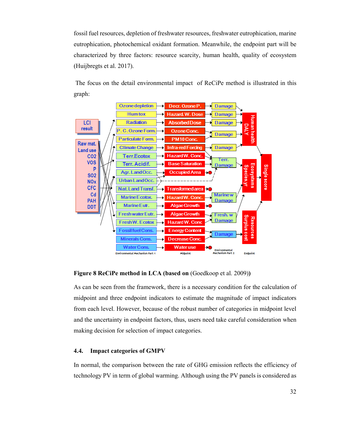fossil fuel resources, depletion of freshwater resources, freshwater eutrophication, marine eutrophication, photochemical oxidant formation. Meanwhile, the endpoint part will be characterized by three factors: resource scarcity, human health, quality of ecosystem (Huijbregts et al. 2017).

 The focus on the detail environmental impact of ReCiPe method is illustrated in this graph:



**Figure 8 ReCiPe method in LCA (based on** (Goedkoop et al. 2009))

As can be seen from the framework, there is a necessary condition for the calculation of midpoint and three endpoint indicators to estimate the magnitude of impact indicators from each level. However, because of the robust number of categories in midpoint level and the uncertainty in endpoint factors, thus, users need take careful consideration when making decision for selection of impact categories.

#### **4.4. Impact categories of GMPV**

In normal, the comparison between the rate of GHG emission reflects the efficiency of technology PV in term of global warming. Although using the PV panels is considered as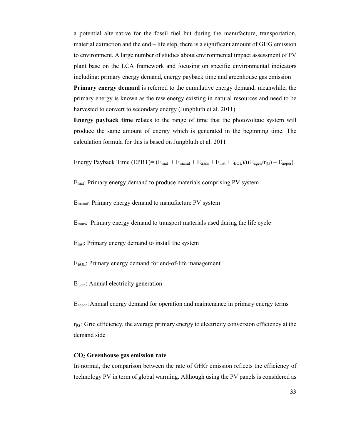a potential alternative for the fossil fuel but during the manufacture, transportation, material extraction and the end – life step, there is a significant amount of GHG emission to environment. A large number of studies about environmental impact assessment of PV plant base on the LCA framework and focusing on specific environmental indicators including: primary energy demand, energy payback time and greenhouse gas emission

**Primary energy demand** is referred to the cumulative energy demand, meanwhile, the primary energy is known as the raw energy existing in natural resources and need to be harvested to convert to secondary energy (Jungbluth et al. 2011).

**Energy payback time** relates to the range of time that the photovoltaic system will produce the same amount of energy which is generated in the beginning time. The calculation formula for this is based on Jungbluth et al. 2011

Energy Payback Time (EPBT)=  $(E_{\text{mat}} + E_{\text{manuf}} + E_{\text{trans}} + E_{\text{inst}} + E_{\text{EOL}})/(E_{\text{agen}}/\eta_G) - E_{\text{aoper}})$ 

Emat: Primary energy demand to produce materials comprising PV system

Emanuf: Primary energy demand to manufacture PV system

Etrans: Primary energy demand to transport materials used during the life cycle

Einst: Primary energy demand to install the system

E<sub>EOL</sub>: Primary energy demand for end-of-life management

Eagen: Annual electricity generation

Eaoper :Annual energy demand for operation and maintenance in primary energy terms

 $\eta$ G : Grid efficiency, the average primary energy to electricity conversion efficiency at the demand side

### **CO2 Greenhouse gas emission rate**

In normal, the comparison between the rate of GHG emission reflects the efficiency of technology PV in term of global warming. Although using the PV panels is considered as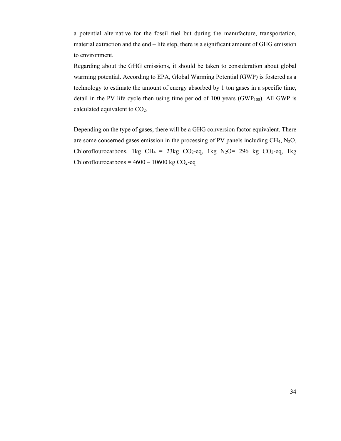a potential alternative for the fossil fuel but during the manufacture, transportation, material extraction and the end – life step, there is a significant amount of GHG emission to environment.

Regarding about the GHG emissions, it should be taken to consideration about global warming potential. According to EPA, Global Warming Potential (GWP) is fostered as a technology to estimate the amount of energy absorbed by 1 ton gases in a specific time, detail in the PV life cycle then using time period of 100 years (GWP $_{100}$ ). All GWP is calculated equivalent to CO<sub>2</sub>.

Depending on the type of gases, there will be a GHG conversion factor equivalent. There are some concerned gases emission in the processing of PV panels including CH4, N2O, Chloroflourocarbons. 1kg CH<sub>4</sub> = 23kg CO<sub>2</sub>-eq, 1kg N<sub>2</sub>O= 296 kg CO<sub>2</sub>-eq, 1kg Chloroflourocarbons =  $4600 - 10600$  kg CO<sub>2</sub>-eq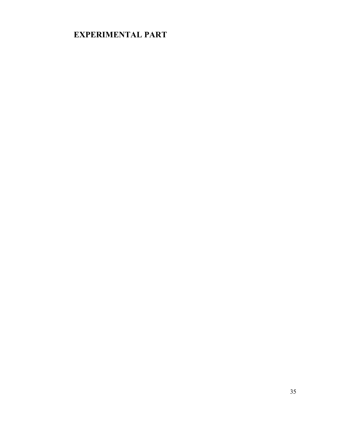# **EXPERIMENTAL PART**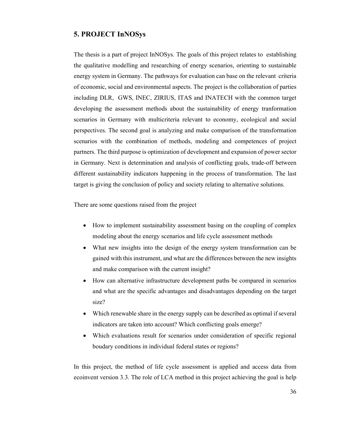## **5. PROJECT InNOSys**

The thesis is a part of project InNOSys. The goals of this project relates to establishing the qualitative modelling and researching of energy scenarios, orienting to sustainable energy system in Germany. The pathways for evaluation can base on the relevant criteria of economic, social and environmental aspects. The project is the collaboration of parties including DLR, GWS, INEC, ZIRIUS, ITAS and INATECH with the common target developing the assessment methods about the sustainability of energy tranformation scenarios in Germany with multicriteria relevant to economy, ecological and social perspectives. The second goal is analyzing and make comparison of the transformation scenarios with the combination of methods, modeling and competences of project partners. The third purpose is optimization of development and expansion of power sector in Germany. Next is determination and analysis of conflicting goals, trade-off between different sustainability indicators happening in the process of transformation. The last target is giving the conclusion of policy and society relating to alternative solutions.

There are some questions raised from the project

- How to implement sustainability assessment basing on the coupling of complex modeling about the energy scenarios and life cycle assessment methods
- What new insights into the design of the energy system transformation can be gained with this instrument, and what are the differences between the new insights and make comparison with the current insight?
- How can alternative infrastructure development paths be compared in scenarios and what are the specific advantages and disadvantages depending on the target size?
- Which renewable share in the energy supply can be described as optimal if several indicators are taken into account? Which conflicting goals emerge?
- Which evaluations result for scenarios under consideration of specific regional boudary conditions in individual federal states or regions?

In this project, the method of life cycle assessment is applied and access data from ecoinvent version 3.3. The role of LCA method in this project achieving the goal is help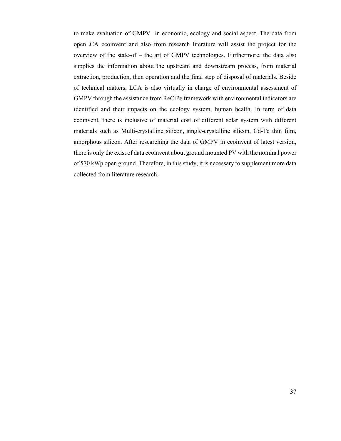to make evaluation of GMPV in economic, ecology and social aspect. The data from openLCA ecoinvent and also from research literature will assist the project for the overview of the state-of – the art of GMPV technologies. Furthermore, the data also supplies the information about the upstream and downstream process, from material extraction, production, then operation and the final step of disposal of materials. Beside of technical matters, LCA is also virtually in charge of environmental assessment of GMPV through the assistance from ReCiPe framework with environmental indicators are identified and their impacts on the ecology system, human health. In term of data ecoinvent, there is inclusive of material cost of different solar system with different materials such as Multi-crystalline silicon, single-crystalline silicon, Cd-Te thin film, amorphous silicon. After researching the data of GMPV in ecoinvent of latest version, there is only the exist of data ecoinvent about ground mounted PV with the nominal power of 570 kWp open ground. Therefore, in this study, it is necessary to supplement more data collected from literature research.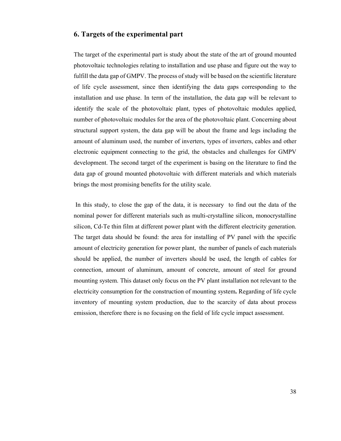## **6. Targets of the experimental part**

The target of the experimental part is study about the state of the art of ground mounted photovoltaic technologies relating to installation and use phase and figure out the way to fulfill the data gap of GMPV. The process of study will be based on the scientific literature of life cycle assessment, since then identifying the data gaps corresponding to the installation and use phase. In term of the installation, the data gap will be relevant to identify the scale of the photovoltaic plant, types of photovoltaic modules applied, number of photovoltaic modules for the area of the photovoltaic plant. Concerning about structural support system, the data gap will be about the frame and legs including the amount of aluminum used, the number of inverters, types of inverters, cables and other electronic equipment connecting to the grid, the obstacles and challenges for GMPV development. The second target of the experiment is basing on the literature to find the data gap of ground mounted photovoltaic with different materials and which materials brings the most promising benefits for the utility scale.

 In this study, to close the gap of the data, it is necessary to find out the data of the nominal power for different materials such as multi-crystalline silicon, monocrystalline silicon, Cd-Te thin film at different power plant with the different electricity generation. The target data should be found: the area for installing of PV panel with the specific amount of electricity generation for power plant, the number of panels of each materials should be applied, the number of inverters should be used, the length of cables for connection, amount of aluminum, amount of concrete, amount of steel for ground mounting system. This dataset only focus on the PV plant installation not relevant to the electricity consumption for the construction of mounting system**.** Regarding of life cycle inventory of mounting system production, due to the scarcity of data about process emission, therefore there is no focusing on the field of life cycle impact assessment.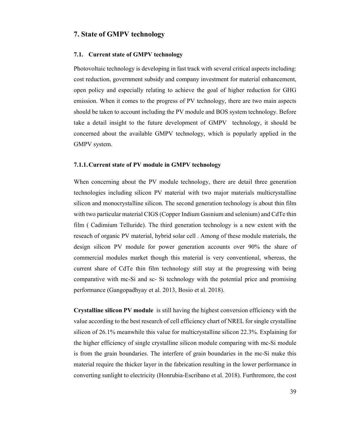## **7. State of GMPV technology**

#### **7.1. Current state of GMPV technology**

Photovoltaic technology is developing in fast track with several critical aspects including: cost reduction, government subsidy and company investment for material enhancement, open policy and especially relating to achieve the goal of higher reduction for GHG emission. When it comes to the progress of PV technology, there are two main aspects should be taken to account including the PV module and BOS system technology. Before take a detail insight to the future development of GMPV technology, it should be concerned about the available GMPV technology, which is popularly applied in the GMPV system.

#### **7.1.1.Current state of PV module in GMPV technology**

When concerning about the PV module technology, there are detail three generation technologies including silicon PV material with two major materials multicrystalline silicon and monocrystalline silicon. The second generation technology is about thin film with two particular material CIGS (Copper Indium Gasnium and selenium) and CdTe thin film ( Cadimium Telluride). The third generation technology is a new extent with the reseach of organic PV material, hybrid solar cell . Among of these module materials, the design silicon PV module for power generation accounts over 90% the share of commercial modules market though this material is very conventional, whereas, the current share of CdTe thin film technology still stay at the progressing with being comparative with mc-Si and sc- Si technology with the potential price and promising performance (Gangopadhyay et al. 2013, Bosio et al. 2018).

**Crystalline silicon PV module** is still having the highest conversion efficiency with the value according to the best research of cell efficiency chart of NREL for single crystalline silicon of 26.1% meanwhile this value for multicrystalline silicon 22.3%. Explaining for the higher efficiency of single crystalline silicon module comparing with mc-Si module is from the grain boundaries. The interfere of grain boundaries in the mc-Si make this material require the thicker layer in the fabrication resulting in the lower performance in converting sunlight to electricity (Honrubia-Escribano et al. 2018). Furthremore, the cost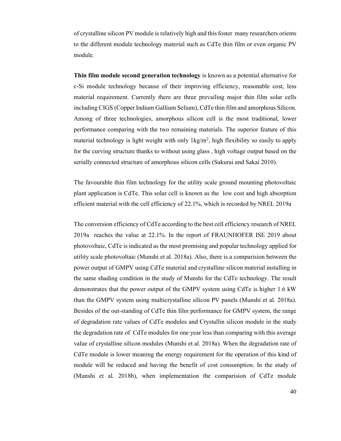of crystalline silicon PV module is relatively high and this foster many researchers orients to the different module technology material such as CdTe thin film or even organic PV module.

**Thin film module second generation technology** is known as a potential alternative for c-Si module technology because of their improving efficiency, reasonable cost, less material requirement. Currently there are three prevailing major thin film solar cells including CIGS (Copper Indium Gallium Selium), CdTe thin film and amorphous Silicon. Among of three technologies, amorphous silicon cell is the most traditional, lower performance comparing with the two remaining materials. The superior feature of this material technology is light weight with only 1kg/m<sup>2</sup>, high flexibility so easily to apply for the curving structure thanks to without using glass , high voltage output based on the serially connected structure of amorphous silicon cells (Sakurai and Sakai 2010).

The favourable thin film technology for the utility scale ground mounting photovoltaic plant application is CdTe. This solar cell is known as the low cost and high absorption efficient material with the cell efficiency of 22.1%, which is recorded by NREL 2019a

The conversion efficiency of CdTe according to the best cell efficiency research of NREL 2019a reaches the value at 22.1%. In the report of FRAUNHOFER ISE 2019 about photovoltaic, CdTe is indicated as the most promising and popular technology applied for utility scale photovoltaic (Munshi et al. 2018a). Also, there is a comparision between the power output of GMPV using CdTe material and crystalline silicon material installing in the same shading condition in the study of Munshi for the CdTe technology. The result demonstrates that the power output of the GMPV system using CdTe is higher 1.6 kW than the GMPV system using multicrystalline silicon PV panels (Munshi et al. 2018a). Besides of the out-standing of CdTe thin film performance for GMPV system, the range of degradation rate values of CdTe modules and Crystallin silicon module in the study the degradation rate of CdTe modules for one year less than comparing with this average value of crystalline silicon modules (Munshi et al. 2018a). When the degradation rate of CdTe module is lower meaning the energy requirement for the operation of this kind of module will be reduced and having the benefit of cost consumption. In the study of (Munshi et al. 2018b), when implementation the comparision of CdTe module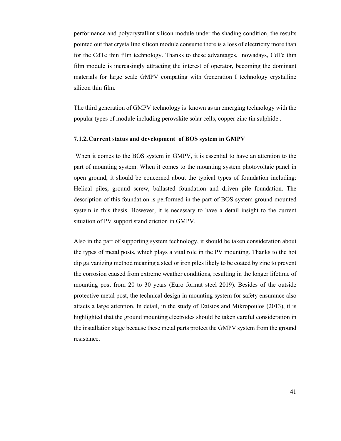performance and polycrystallint silicon module under the shading condition, the results pointed out that crystalline silicon module consume there is a loss of electricity more than for the CdTe thin film technology. Thanks to these advantages, nowadays, CdTe thin film module is increasingly attracting the interest of operator, becoming the dominant materials for large scale GMPV compating with Generation I technology crystalline silicon thin film.

The third generation of GMPV technology is known as an emerging technology with the popular types of module including perovskite solar cells, copper zinc tin sulphide .

#### **7.1.2.Current status and development of BOS system in GMPV**

 When it comes to the BOS system in GMPV, it is essential to have an attention to the part of mounting system. When it comes to the mounting system photovoltaic panel in open ground, it should be concerned about the typical types of foundation including: Helical piles, ground screw, ballasted foundation and driven pile foundation. The description of this foundation is performed in the part of BOS system ground mounted system in this thesis. However, it is necessary to have a detail insight to the current situation of PV support stand eriction in GMPV.

Also in the part of supporting system technology, it should be taken consideration about the types of metal posts, which plays a vital role in the PV mounting. Thanks to the hot dip galvanizing method meaning a steel or iron piles likely to be coated by zinc to prevent the corrosion caused from extreme weather conditions, resulting in the longer lifetime of mounting post from 20 to 30 years (Euro format steel 2019). Besides of the outside protective metal post, the technical design in mounting system for safety ensurance also attacts a large attention. In detail, in the study of Datsios and Mikropoulos (2013), it is highlighted that the ground mounting electrodes should be taken careful consideration in the installation stage because these metal parts protect the GMPV system from the ground resistance.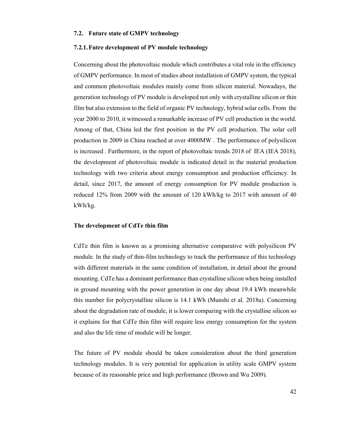#### **7.2. Future state of GMPV technology**

#### **7.2.1.Futre development of PV module technology**

Concerning about the photovoltaic module which contributes a vital role in the efficiency of GMPV performance. In most of studies about installation of GMPV system, the typical and common photovoltaic modules mainly come from silicon material. Nowadays, the generation technology of PV module is developed not only with crystalline silicon or thin film but also extension to the field of organic PV technology, hybrid solar cells. From the year 2000 to 2010, it witnessed a remarkable increase of PV cell production in the world. Among of that, China led the first position in the PV cell production. The solar cell production in 2009 in China reached at over 4000MW . The performance of polysilicon is increased . Furthermore, in the report of photovoltaic trends 2018 of IEA (IEA 2018), the development of photovoltaic module is indicated detail in the material production technology with two criteria about energy consumption and production efficiency. In detail, since 2017, the amount of energy consumption for PV module production is reduced 12% from 2009 with the amount of 120 kWh/kg to 2017 with amount of 40 kWh/kg.

#### **The development of CdTe thin film**

CdTe thin film is known as a promising alternative comparative with polysilicon PV module. In the study of thin-film technology to track the performance of this technology with different materials in the same condition of installation, in detail about the ground mounting. CdTe has a dominant performance than crystalline silicon when being installed in ground mounting with the power generation in one day about 19.4 kWh meanwhile this number for polycrystalline silicon is 14.1 kWh (Munshi et al. 2018a). Concerning about the degradation rate of module, it is lower comparing with the crystalline silicon so it explains for that CdTe thin film will require less energy consumption for the system and also the life time of module will be longer.

The future of PV module should be taken consideration about the third generation technology modules. It is very potential for application in utility scale GMPV system because of its reasonable price and high performance (Brown and Wu 2009).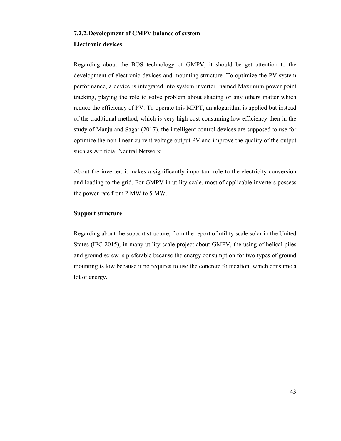#### **7.2.2.Development of GMPV balance of system**

#### **Electronic devices**

Regarding about the BOS technology of GMPV, it should be get attention to the development of electronic devices and mounting structure. To optimize the PV system performance, a device is integrated into system inverter named Maximum power point tracking, playing the role to solve problem about shading or any others matter which reduce the efficiency of PV. To operate this MPPT, an alogarithm is applied but instead of the traditional method, which is very high cost consuming,low efficiency then in the study of Manju and Sagar (2017), the intelligent control devices are supposed to use for optimize the non-linear current voltage output PV and improve the quality of the output such as Artificial Neutral Network.

About the inverter, it makes a significantly important role to the electricity conversion and loading to the grid. For GMPV in utility scale, most of applicable inverters possess the power rate from 2 MW to 5 MW.

#### **Support structure**

Regarding about the support structure, from the report of utility scale solar in the United States (IFC 2015), in many utility scale project about GMPV, the using of helical piles and ground screw is preferable because the energy consumption for two types of ground mounting is low because it no requires to use the concrete foundation, which consume a lot of energy.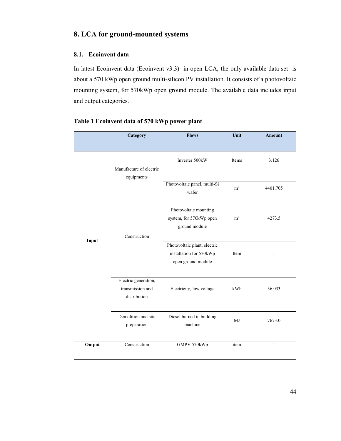# **8. LCA for ground-mounted systems**

## **8.1. Ecoinvent data**

In latest Ecoinvent data (Ecoinvent v3.3) in open LCA, the only available data set is about a 570 kWp open ground multi-silicon PV installation. It consists of a photovoltaic mounting system, for 570kWp open ground module. The available data includes input and output categories.

|        | Category                              | <b>Flows</b>                             | Unit           | <b>Amount</b> |
|--------|---------------------------------------|------------------------------------------|----------------|---------------|
|        |                                       |                                          |                |               |
|        |                                       | Inverter 500kW                           | Items          | 3.126         |
|        | Manufacture of electric<br>equipments |                                          |                |               |
|        |                                       | Photovoltaic panel, multi-Si<br>wafer    | m <sup>2</sup> | 4401.705      |
|        |                                       | Photovoltaic mounting                    |                |               |
|        |                                       | system, for 570kWp open<br>ground module | m <sup>2</sup> | 4273.5        |
| Input  | Construction                          |                                          |                |               |
|        |                                       | Photovoltaic plant, electric             |                |               |
|        |                                       | installation for 570kWp                  | Item           | $\mathbf{1}$  |
|        |                                       | open ground module                       |                |               |
|        | Electric generation,                  |                                          |                |               |
|        | transmission and<br>distribution      | Electricity, low voltage                 | kWh            | 36.033        |
|        |                                       |                                          |                |               |
|        | Demolition and site<br>preparation    | Diesel burned in building<br>machine     | MJ             | 7673.0        |
|        | Construction                          | GMPV 570kWp                              | item           | $\mathbf{1}$  |
| Output |                                       |                                          |                |               |

## **Table 1 Ecoinvent data of 570 kWp power plant**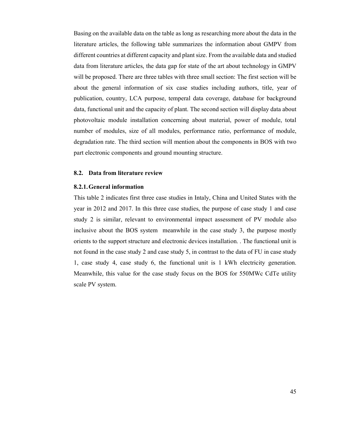Basing on the available data on the table as long as researching more about the data in the literature articles, the following table summarizes the information about GMPV from different countries at different capacity and plant size. From the available data and studied data from literature articles, the data gap for state of the art about technology in GMPV will be proposed. There are three tables with three small section: The first section will be about the general information of six case studies including authors, title, year of publication, country, LCA purpose, temperal data coverage, database for background data, functional unit and the capacity of plant. The second section will display data about photovoltaic module installation concerning about material, power of module, total number of modules, size of all modules, performance ratio, performance of module, degradation rate. The third section will mention about the components in BOS with two part electronic components and ground mounting structure.

#### **8.2. Data from literature review**

#### **8.2.1.General information**

This table 2 indicates first three case studies in Intaly, China and United States with the year in 2012 and 2017. In this three case studies, the purpose of case study 1 and case study 2 is similar, relevant to environmental impact assessment of PV module also inclusive about the BOS system meanwhile in the case study 3, the purpose mostly orients to the support structure and electronic devices installation. . The functional unit is not found in the case study 2 and case study 5, in contrast to the data of FU in case study 1, case study 4, case study 6, the functional unit is 1 kWh electricity generation. Meanwhile, this value for the case study focus on the BOS for 550MWc CdTe utility scale PV system.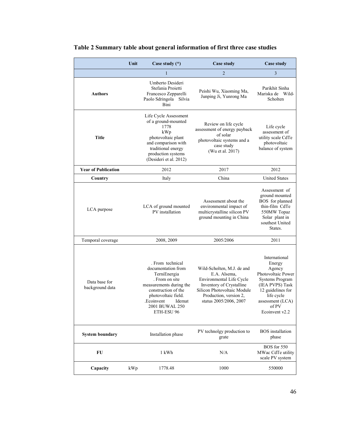|                                  | Unit | Case study $(*)$                                                                                                                                                                                          | Case study                                                                                                                                                                            | <b>Case study</b>                                                                                                                                                               |
|----------------------------------|------|-----------------------------------------------------------------------------------------------------------------------------------------------------------------------------------------------------------|---------------------------------------------------------------------------------------------------------------------------------------------------------------------------------------|---------------------------------------------------------------------------------------------------------------------------------------------------------------------------------|
|                                  |      | $\mathbf{1}$                                                                                                                                                                                              | $\overline{2}$                                                                                                                                                                        | 3                                                                                                                                                                               |
| <b>Authors</b>                   |      | Umberto Desideri<br>Stefania Proietti<br>Francesco Zepparelli<br>Paolo Sdringola Silvia<br>Bini                                                                                                           | Peishi Wu, Xiaoming Ma,<br>Junping Ji, Yunrong Ma                                                                                                                                     | Parikhit Sinha<br>Mariska de Wild-<br>Scholten                                                                                                                                  |
| Title                            |      | Life Cycle Assessment<br>of a ground-mounted<br>1778<br>kWp<br>photovoltaic plant<br>and comparison with<br>traditional energy<br>production systems<br>(Desideri et al. 2012)                            | Review on life cycle<br>assessment of energy payback<br>of solar<br>photovoltaic systems and a<br>case study<br>(Wu et al. 2017)                                                      | Life cycle<br>assessment of<br>utility scale CdTe<br>photovoltaic<br>balance of system                                                                                          |
| <b>Year of Publication</b>       |      | 2012                                                                                                                                                                                                      | 2017                                                                                                                                                                                  | 2012                                                                                                                                                                            |
| Country                          |      | Italy                                                                                                                                                                                                     | China                                                                                                                                                                                 | <b>United States</b>                                                                                                                                                            |
| LCA purpose                      |      | LCA of ground mounted<br>PV installation                                                                                                                                                                  | Assessment about the<br>environmental impact of<br>multicrystalline silicon PV<br>ground mounting in China                                                                            | Assessment of<br>ground mounted<br>BOS for planned<br>thin-film CdTe<br>550MW Topaz<br>Solar plant in<br>southest United<br>States.                                             |
| Temporal coverage                |      | 2008, 2009                                                                                                                                                                                                | 2005/2006                                                                                                                                                                             | 2011                                                                                                                                                                            |
| Data base for<br>background data |      | . From technical<br>documentation from<br>TerniEnergia<br>. From on site<br>measurements during the<br>construction of the<br>photovoltaic field.<br>Ecoinvent.<br>Idemat<br>2001 BUWAL 250<br>ETH-ESU 96 | Wild-Scholten, M.J. de and<br>E.A. Alsema,<br>Environmental Life Cycle<br>Inventory of Crystalline<br>Silicon Photovoltaic Module<br>Production, version 2,<br>status 2005/2006, 2007 | International<br>Energy<br>Agency<br>Photovoltaic Power<br>Systems Program<br>(IEA PVPS) Task<br>12 guidelines for<br>life cycle<br>assessment (LCA)<br>of PV<br>Ecoinvent v2.2 |
| <b>System boundary</b>           |      | Installation phase                                                                                                                                                                                        | PV technolgy production to<br>grate                                                                                                                                                   | <b>BOS</b> installation<br>phase                                                                                                                                                |
| FU                               |      | 1 kWh                                                                                                                                                                                                     | N/A                                                                                                                                                                                   | BOS for 550<br>MWac CdTe utility<br>scale PV system                                                                                                                             |
| Capacity                         | kWp  | 1778.48                                                                                                                                                                                                   | 1000                                                                                                                                                                                  | 550000                                                                                                                                                                          |

## **Table 2 Summary table about general information of first three case studies**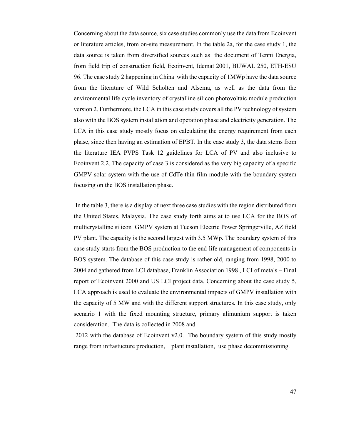Concerning about the data source, six case studies commonly use the data from Ecoinvent or literature articles, from on-site measurement. In the table 2a, for the case study 1, the data source is taken from diversified sources such as the document of Tenni Energia, from field trip of construction field, Ecoinvent, Idemat 2001, BUWAL 250, ETH-ESU 96. The case study 2 happening in China with the capacity of 1MWp have the data source from the literature of Wild Scholten and Alsema, as well as the data from the environmental life cycle inventory of crystalline silicon photovoltaic module production version 2. Furthermore, the LCA in this case study covers all the PV technology of system also with the BOS system installation and operation phase and electricity generation. The LCA in this case study mostly focus on calculating the energy requirement from each phase, since then having an estimation of EPBT. In the case study 3, the data stems from the literature IEA PVPS Task 12 guidelines for LCA of PV and also inclusive to Ecoinvent 2.2. The capacity of case 3 is considered as the very big capacity of a specific GMPV solar system with the use of CdTe thin film module with the boundary system focusing on the BOS installation phase.

 In the table 3, there is a display of next three case studies with the region distributed from the United States, Malaysia. The case study forth aims at to use LCA for the BOS of multicrystalline silicon GMPV system at Tucson Electric Power Springerville, AZ field PV plant. The capacity is the second largest with 3.5 MWp. The boundary system of this case study starts from the BOS production to the end-life management of components in BOS system. The database of this case study is rather old, ranging from 1998, 2000 to 2004 and gathered from LCI database, Franklin Association 1998 , LCI of metals – Final report of Ecoinvent 2000 and US LCI project data. Concerning about the case study 5, LCA approach is used to evaluate the environmental impacts of GMPV installation with the capacity of 5 MW and with the different support structures. In this case study, only scenario 1 with the fixed mounting structure, primary alimunium support is taken consideration. The data is collected in 2008 and

 2012 with the database of Ecoinvent v2.0. The boundary system of this study mostly range from infrastucture production, plant installation, use phase decommissioning.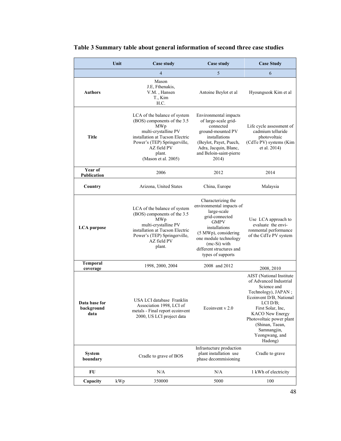|                                     | Unit | <b>Case study</b>                                                                                                                                                                                             | <b>Case study</b>                                                                                                                                                                                                                 | <b>Case Study</b>                                                                                                                                                                                                                                                         |
|-------------------------------------|------|---------------------------------------------------------------------------------------------------------------------------------------------------------------------------------------------------------------|-----------------------------------------------------------------------------------------------------------------------------------------------------------------------------------------------------------------------------------|---------------------------------------------------------------------------------------------------------------------------------------------------------------------------------------------------------------------------------------------------------------------------|
|                                     |      | 4                                                                                                                                                                                                             | 5                                                                                                                                                                                                                                 | 6                                                                                                                                                                                                                                                                         |
| <b>Authors</b>                      |      | Mason<br>J.E, Fthenakis,<br>V.M., Hansen<br>T., Kim<br>H.C.                                                                                                                                                   | Antoine Beylot et al                                                                                                                                                                                                              | Hyoungseok Kim et al                                                                                                                                                                                                                                                      |
| <b>Title</b>                        |      | LCA of the balance of system<br>(BOS) components of the 3.5<br>MWp<br>multi-crystalline PV<br>installation at Tucson Electric<br>Power's (TEP) Springerville,<br>AZ field PV<br>plant.<br>(Mason et al. 2005) | Environmental impacts<br>of large-scale grid-<br>connected<br>ground-mounted PV<br>installations<br>(Beylot, Payet, Puech,<br>Adra, Jacquin, Blanc,<br>and Beloin-saint-pierre<br>2014)                                           | Life cycle assessment of<br>cadmium telluride<br>photovoltaic<br>(CdTe PV) systems (Kim<br>et al. 2014)                                                                                                                                                                   |
| Year of<br>Publication              |      | 2006                                                                                                                                                                                                          | 2012                                                                                                                                                                                                                              | 2014                                                                                                                                                                                                                                                                      |
| Country                             |      | Arizona, United States                                                                                                                                                                                        | China, Europe                                                                                                                                                                                                                     | Malaysia                                                                                                                                                                                                                                                                  |
| <b>LCA</b> purpose                  |      | LCA of the balance of system<br>(BOS) components of the 3.5<br>MWp<br>multi-crystalline PV<br>installation at Tucson Electric<br>Power's (TEP) Springerville,<br>AZ field PV<br>plant.                        | Characterizing the<br>environmental impacts of<br>large-scale<br>grid-connected<br><b>GMPV</b><br>installations<br>(5 MWp), considering<br>one module technology<br>(mc-Si) with<br>different structures and<br>types of supports | Use LCA approach to<br>evaluate the envi-<br>ronmental performance<br>of the CdTe PV system                                                                                                                                                                               |
| <b>Temporal</b><br>coverage         |      | 1998, 2000, 2004                                                                                                                                                                                              | 2008 and 2012                                                                                                                                                                                                                     | 2008, 2010                                                                                                                                                                                                                                                                |
| Data base for<br>background<br>data |      | USA LCI database Franklin<br>Association 1998, LCI of<br>metals - Final report ecoinvent<br>2000, US LCI project data                                                                                         | Ecoinvent v 2.0                                                                                                                                                                                                                   | AIST (National Institute<br>of Advanced Industrial<br>Science and<br>Technology), JAPAN;<br>Ecoinvent D/B, National<br>LCI D/B;<br>First Solar, Inc,<br><b>KACO</b> New Energy<br>Photovoltaic power plant<br>(Shinan, Taean,<br>Samnangjin,<br>Yeongwang, and<br>Hadong) |
| <b>System</b><br>boundary           |      | Cradle to grave of BOS                                                                                                                                                                                        | Infrastucture production<br>plant installation use<br>phase decommisioning                                                                                                                                                        | Cradle to grave                                                                                                                                                                                                                                                           |
| FU                                  |      | N/A                                                                                                                                                                                                           | N/A                                                                                                                                                                                                                               | 1 kWh of electricity                                                                                                                                                                                                                                                      |
| Capacity                            | kWp  | 350000                                                                                                                                                                                                        | 5000                                                                                                                                                                                                                              | 100                                                                                                                                                                                                                                                                       |

## **Table 3 Summary table about general information of second three case studies**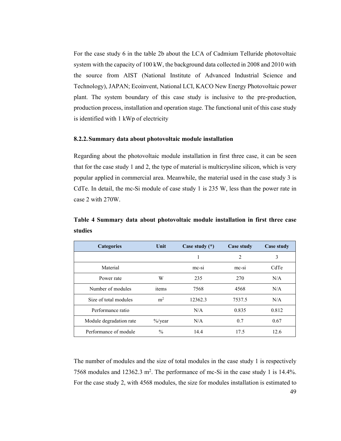For the case study 6 in the table 2b about the LCA of Cadmium Telluride photovoltaic system with the capacity of 100 kW, the background data collected in 2008 and 2010 with the source from AIST (National Institute of Advanced Industrial Science and Technology), JAPAN; Ecoinvent, National LCI, KACO New Energy Photovoltaic power plant. The system boundary of this case study is inclusive to the pre-production, production process, installation and operation stage. The functional unit of this case study is identified with 1 kWp of electricity

#### **8.2.2.Summary data about photovoltaic module installation**

Regarding about the photovoltaic module installation in first three case, it can be seen that for the case study 1 and 2, the type of material is multicrysline silicon, which is very popular applied in commercial area. Meanwhile, the material used in the case study 3 is CdTe. In detail, the mc-Si module of case study 1 is 235 W, less than the power rate in case 2 with 270W.

**Table 4 Summary data about photovoltaic module installation in first three case studies** 

| <b>Categories</b>       | Unit                | Case study $(*)$ | Case study | Case study |
|-------------------------|---------------------|------------------|------------|------------|
|                         |                     |                  | 2          | 3          |
| Material                |                     | mc-si            | $mc-si$    | CdTe       |
| Power rate              | W                   | 235              | 270        | N/A        |
| Number of modules       | items               | 7568             | 4568       | N/A        |
| Size of total modules   | m <sup>2</sup>      | 12362.3          | 7537.5     | N/A        |
| Performance ratio       |                     | N/A              | 0.835      | 0.812      |
| Module degradation rate | $\frac{9}{0}$ /year | N/A              | 0.7        | 0.67       |
| Performance of module   | $\frac{0}{0}$       | 14.4             | 17.5       | 12.6       |

49 The number of modules and the size of total modules in the case study 1 is respectively 7568 modules and  $12362.3 \text{ m}^2$ . The performance of mc-Si in the case study 1 is 14.4%. For the case study 2, with 4568 modules, the size for modules installation is estimated to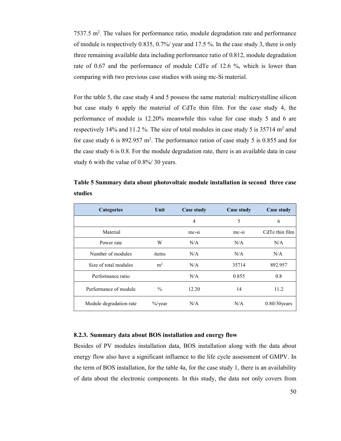7537.5 m<sup>2</sup>. The values for performance ratio, module degradation rate and performance of module is respectively 0.835, 0.7%/ year and 17.5 %. In the case study 3, there is only three remaining available data including performance ratio of 0.812, module degradation rate of 0.67 and the performance of module CdTe of 12.6 %, which is lower than comparing with two previous case studies with using mc-Si material.

For the table 5, the case study 4 and 5 possess the same material: multicrystalline silicon but case study 6 apply the material of CdTe thin film. For the case study 4, the performance of module is 12.20% meanwhile this value for case study 5 and 6 are respectively 14% and 11.2 %. The size of total modules in case study 5 is  $35714$  m<sup>2</sup> amd for case study 6 is  $892.957 \text{ m}^2$ . The performance ration of case study 5 is 0.855 and for the case study 6 is 0.8. For the module degradation rate, there is an available data in case study 6 with the value of 0.8%/ 30 years.

| <b>Categories</b>       | Unit           | Case study | Case study | Case study      |
|-------------------------|----------------|------------|------------|-----------------|
|                         |                | 4          | 5          | 6               |
| Material                |                | $mc-si$    | $mc-si$    | CdTe thin film  |
| Power rate              | W              | N/A        | N/A        | N/A             |
| Number of modules       | items          | N/A        | N/A        | N/A             |
| Size of total modules   | m <sup>2</sup> | N/A        | 35714      | 892.957         |
| Performance ratio       |                | N/A        | 0.855      | 0.8             |
| Performance of module   | $\frac{0}{0}$  | 12.20      | 14         | 11.2            |
| Module degradation rate | $\%$ /year     | N/A        | N/A        | $0.80/30$ years |

**Table 5 Summary data about photovoltaic module installation in second three case studies** 

#### **8.2.3. Summary data about BOS installation and energy flow**

Besides of PV modules installation data, BOS installation along with the data about energy flow also have a significant influence to the life cycle assessment of GMPV. In the term of BOS installation, for the table 4a, for the case study 1, there is an availability of data about the electronic components. In this study, the data not only covers from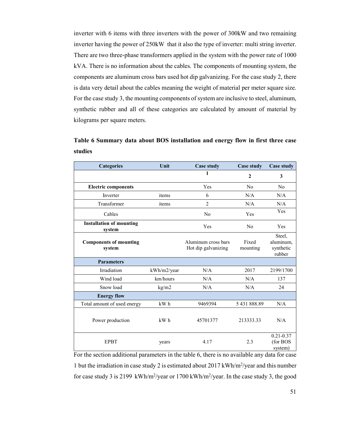inverter with 6 items with three inverters with the power of 300kW and two remaining inverter having the power of 250kW that it also the type of inverter: multi string inverter. There are two three-phase transformers applied in the system with the power rate of 1000 kVA. There is no information about the cables. The components of mounting system, the components are aluminum cross bars used hot dip galvanizing. For the case study 2, there is data very detail about the cables meaning the weight of material per meter square size. For the case study 3, the mounting components of system are inclusive to steel, aluminum, synthetic rubber and all of these categories are calculated by amount of material by kilograms per square meters.

**Table 6 Summary data about BOS installation and energy flow in first three case studies** 

| <b>Categories</b>                         | Unit        | <b>Case study</b>                          | <b>Case study</b> | <b>Case study</b>                          |
|-------------------------------------------|-------------|--------------------------------------------|-------------------|--------------------------------------------|
|                                           |             | 1                                          | $\mathbf{2}$      | 3                                          |
| <b>Electric components</b>                |             | Yes                                        | N <sub>0</sub>    | No                                         |
| Inverter                                  | items       | 6                                          | N/A               | N/A                                        |
| Transformer                               | items       | $\overline{2}$                             | N/A               | N/A                                        |
| Cables                                    |             | No                                         | Yes               | Yes                                        |
| <b>Installation of mounting</b><br>system |             | Yes                                        | N <sub>0</sub>    | Yes                                        |
| <b>Components of mounting</b><br>system   |             | Aluminum cross bars<br>Hot dip galvanizing | Fixed<br>mounting | Steel,<br>aluminum,<br>synthetic<br>rubber |
| <b>Parameters</b>                         |             |                                            |                   |                                            |
| Irradiation                               | kWh/m2/year | N/A                                        | 2017              | 2199/1700                                  |
| Wind load                                 | km/hours    | N/A                                        | N/A               | 137                                        |
| Snow load                                 | kg/m2       | N/A                                        | N/A               | 24                                         |
| <b>Energy flow</b>                        |             |                                            |                   |                                            |
| Total amount of used energy               | kW h        | 9469394                                    | 5431888.89        | N/A                                        |
| Power production                          | kW h        | 45701377                                   | 213333.33         | N/A                                        |
| <b>EPBT</b>                               | years       | 4.17                                       | 2.3               | $0.21 - 0.37$<br>(for BOS<br>system)       |

For the section additional parameters in the table 6, there is no available any data for case 1 but the irradiation in case study 2 is estimated about 2017 kWh/m<sup>2</sup>/year and this number for case study 3 is 2199 kWh/m<sup>2</sup>/year or 1700 kWh/m<sup>2</sup>/year. In the case study 3, the good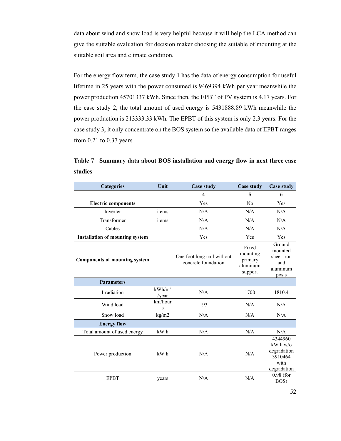data about wind and snow load is very helpful because it will help the LCA method can give the suitable evaluation for decision maker choosing the suitable of mounting at the suitable soil area and climate condition.

For the energy flow term, the case study 1 has the data of energy consumption for useful lifetime in 25 years with the power consumed is 9469394 kWh per year meanwhile the power production 45701337 kWh. Since then, the EPBT of PV system is 4.17 years. For the case study 2, the total amount of used energy is 5431888.89 kWh meanwhile the power production is 213333.33 kWh. The EPBT of this system is only 2.3 years. For the case study 3, it only concentrate on the BOS system so the available data of EPBT ranges from 0.21 to 0.37 years.

**Table 7 Summary data about BOS installation and energy flow in next three case studies** 

| <b>Categories</b>                      | Unit               | <b>Case study</b>                                 | <b>Case study</b>                                   | <b>Case study</b>                                                                        |
|----------------------------------------|--------------------|---------------------------------------------------|-----------------------------------------------------|------------------------------------------------------------------------------------------|
|                                        |                    | $\overline{\mathbf{4}}$                           | 5                                                   | 6                                                                                        |
| <b>Electric components</b>             |                    | Yes                                               | No                                                  | Yes                                                                                      |
| Inverter                               | items              | N/A                                               | N/A                                                 | N/A                                                                                      |
| Transformer                            | items              | N/A                                               | N/A                                                 | N/A                                                                                      |
| Cables                                 |                    | N/A                                               | N/A                                                 | N/A                                                                                      |
| <b>Installation of mounting system</b> |                    | Yes                                               | Yes                                                 | Yes                                                                                      |
| <b>Components of mounting system</b>   |                    | One foot long nail without<br>concrete foundation | Fixed<br>mounting<br>primary<br>aluminum<br>support | Ground<br>mounted<br>sheet iron<br>and<br>aluminum<br>posts                              |
| <b>Parameters</b>                      |                    |                                                   |                                                     |                                                                                          |
| Irradiation                            | $kWh/m^2$<br>/year | N/A                                               | 1700                                                | 1810.4                                                                                   |
| Wind load                              | km/hour<br>S       | 193                                               | N/A                                                 | N/A                                                                                      |
| Snow load                              | kg/m2              | N/A                                               | N/A                                                 | N/A                                                                                      |
| <b>Energy flow</b>                     |                    |                                                   |                                                     |                                                                                          |
| Total amount of used energy            | kW h               | N/A                                               | N/A                                                 | N/A                                                                                      |
| Power production                       | kW h               | N/A                                               | N/A                                                 | 4344960<br>$\mathbf{k}\mathbf{W}$ h w/o<br>degradation<br>3910464<br>with<br>degradation |
| <b>EPBT</b>                            | years              | N/A                                               | N/A                                                 | $0.98$ (for<br>BOS)                                                                      |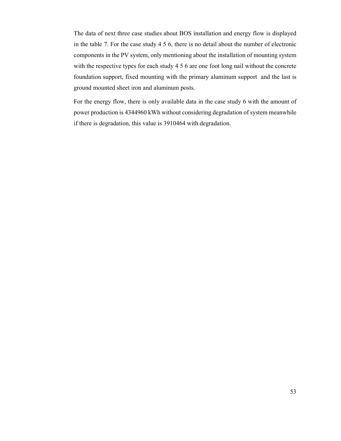The data of next three case studies about BOS installation and energy flow is displayed in the table 7. For the case study 4 5 6, there is no detail about the number of electronic components in the PV system, only mentioning about the installation of mounting system with the respective types for each study 4 5 6 are one foot long nail without the concrete foundation support, fixed mounting with the primary aluminum support and the last is ground mounted sheet iron and aluminum posts.

For the energy flow, there is only available data in the case study 6 with the amount of power production is 4344960 kWh without considering degradation of system meanwhile if there is degradation, this value is 3910464 with degradation.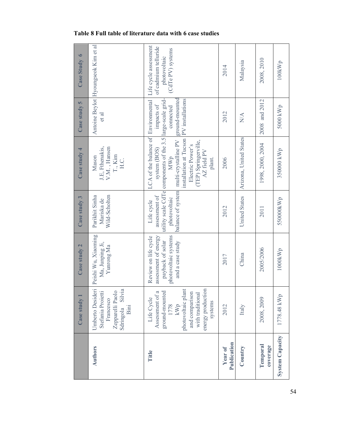|                        | Case study 1                                                                                                                                                    | Case study 2                                                                                                 | Case study 3                                  | $Case$ study 4                                                                                                                                                                                                                                                                                           | Case study 5                              | Case Study 6                                              |
|------------------------|-----------------------------------------------------------------------------------------------------------------------------------------------------------------|--------------------------------------------------------------------------------------------------------------|-----------------------------------------------|----------------------------------------------------------------------------------------------------------------------------------------------------------------------------------------------------------------------------------------------------------------------------------------------------------|-------------------------------------------|-----------------------------------------------------------|
| <b>Authors</b>         | Umberto Desideri<br>Zepparelli Paolo<br>Sdringola Silvia<br>Stefania Proietti<br>Francesco<br><b>Bini</b>                                                       | Peishi Wu, Xiaoming<br>Ma, Junping Ji,<br>Yunrong Ma                                                         | Wild-Scholten<br>Parikhit Sinha<br>Mariska de | J.E, Fthenakis,<br>V.M., Hansen<br>T., Kim<br>Mason<br>H.C.                                                                                                                                                                                                                                              | et al                                     | Antoine Beylot Hyoungseok Kim et al                       |
| Title                  | energy production<br>photovoltaic plant<br>and comparison<br>a<br>ground-mounted<br>Assessment of a<br>with traditional<br>Life Cycle<br>systems<br>1778<br>kWp | Review on life cycle<br>assessment of energy<br>photovoltaic systems<br>payback of solar<br>and a case study | assessment of<br>photovoltaic<br>Life cycle   | LCA of the balance of Environmental Life cycle assessment<br>utility scale CdTe components of the 3.5 large-scale grid-<br>installation at Tucson PV installations<br>balance of system multi-crystalline PV<br>(TEP) Springerville,<br>Electric Power's<br>system (BOS)<br>AZ field PV<br>MWp<br>plant. | ground-mounted<br>impacts of<br>connected | of cadmium telluride<br>(CdTe PV) systems<br>photovoltaic |
| Publication<br>Year of | 2012                                                                                                                                                            | 2017                                                                                                         | 2012                                          | 2006                                                                                                                                                                                                                                                                                                     | 2012                                      | 2014                                                      |
| Country                | Italy                                                                                                                                                           | China                                                                                                        | United States                                 | Arizona, United States                                                                                                                                                                                                                                                                                   | $\sum_{i=1}^{n}$                          | Malaysia                                                  |
| Temporal<br>coverage   | 2008, 2009                                                                                                                                                      | 2005/2006                                                                                                    | 2011                                          | 1998, 2000, 2004                                                                                                                                                                                                                                                                                         | 2008 and 2012                             | 2008, 2010                                                |
| <b>System Capacity</b> | 1778.48 kWp                                                                                                                                                     | 1000kWh                                                                                                      | 550000kWp                                     | 350000 kWp                                                                                                                                                                                                                                                                                               | 5000 kWp                                  | 100kWh                                                    |

## **Table 8 Full table of literature data with 6 case studies**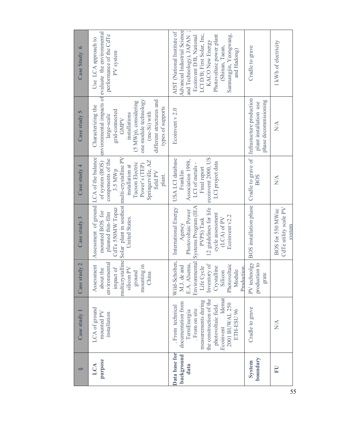| S                                   | Case study 1                                                                                                                                                                                           | Case study 2                                                                                                                                                   | Case study 3                                                                                                                                                                           | Case study 4                                                                                                                                      | Case study 5                                                                                                                                                                                          | Case Study 6                                                                                                                                                                                                                                                    |
|-------------------------------------|--------------------------------------------------------------------------------------------------------------------------------------------------------------------------------------------------------|----------------------------------------------------------------------------------------------------------------------------------------------------------------|----------------------------------------------------------------------------------------------------------------------------------------------------------------------------------------|---------------------------------------------------------------------------------------------------------------------------------------------------|-------------------------------------------------------------------------------------------------------------------------------------------------------------------------------------------------------|-----------------------------------------------------------------------------------------------------------------------------------------------------------------------------------------------------------------------------------------------------------------|
| purpose<br>LCA                      | LCA of ground<br>mounted PV<br>installation                                                                                                                                                            | environmental<br>Assessment<br>mounting in<br>silicon PV<br>impact of<br>about the<br>ground<br>China                                                          | Assessment of ground LCA of the balance<br>multicrystalline Solar plant in southest multi-crystalline PV<br>CdTe 550MW Topaz<br>mounted BOS for<br>planned thin-film<br>United States. | components of the<br>Springerville, AZ<br>of system (BOS)<br>Tucson Electric<br>Power's (TEP)<br>installation at<br>3.5 MWp<br>field PV<br>plant. | one module technology<br>different structures and<br>(5 MWp), considering<br>Characterizing the<br>types of supports<br>grid-connected<br>(mc-Si) with<br>installations<br>large-scale<br><b>GMPV</b> | environmental impacts of evaluate the environmental<br>performance of the CdTe<br>Use LCA approach to<br>PV system                                                                                                                                              |
| Data base for<br>background<br>data | Idemat<br>the construction of the<br>measurements during<br>documentation from<br>2001 BUWAL 250<br>photovoltaic field.<br>. From technical<br>From on site<br>ETH-ESU 96<br>TerniEnergia<br>Ecoinvent | Wild-Scholten,<br>Environmental<br>E.A. Alsema,<br>Photovoltaic<br>Inventory of<br>M.J. de and<br>Life Cycle<br>Crystalline<br>Production<br>Module<br>Silicon | Systems Program (IEA<br>12 guidelines for life<br>International Energy<br>Photovoltaic Power<br>cycle assessment<br>Ecoinvent v2.2<br>$(LCA)$ of PV<br>PVPS) Task<br>Agency            | ecoinvent 2000, US<br>USA LCI database<br>Association 1998,<br>LCI project data<br>LCI of metals -<br>Final report<br>Franklin                    | Ecoinvent v 2.0                                                                                                                                                                                       | Advanced Industrial Science<br>AIST (National Institute of<br>LCI D/B; First Solar, Inc,<br>Samnangjin, Yeongwang,<br>Photovoltaic power plant<br>and Technology), JAPAN<br>Ecoinvent D/B, National<br><b>KACO New Energy</b><br>(Shinan, Taean,<br>and Hadong) |
| boundary<br><b>System</b>           | Cradle to grave                                                                                                                                                                                        | PV technolgy<br>production to<br>grate                                                                                                                         | <b>BOS</b> installation phase                                                                                                                                                          | Cradle to grave of<br><b>BOS</b>                                                                                                                  | Infrastucture production<br>phase decommisioning<br>plant installation use                                                                                                                            | Cradle to grave                                                                                                                                                                                                                                                 |
| E                                   | N/A                                                                                                                                                                                                    |                                                                                                                                                                | CdTe utility scale PV<br>BOS for 550 MWac<br>system                                                                                                                                    | $\mathbb{N}\mathbb{A}$                                                                                                                            | N/A                                                                                                                                                                                                   | 1 kWh of electricity                                                                                                                                                                                                                                            |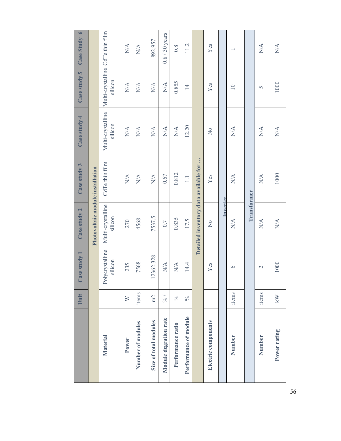|                       | Unit          | ase study 1                     | Case study 2                     | Case study 3                          | Case study 4                                      | Case study 5                                      | Case Study 6                                         |
|-----------------------|---------------|---------------------------------|----------------------------------|---------------------------------------|---------------------------------------------------|---------------------------------------------------|------------------------------------------------------|
|                       |               |                                 | Photovoltaic module installation |                                       |                                                   |                                                   |                                                      |
| Material              |               | Polycrystalline<br>silicon      | Multi-crystalline<br>silicon     | CdTe thin film                        | Multi-crystalline<br>silicon                      | Multi-crystalline CdTe thin film<br>silicon       |                                                      |
| Power                 | $\geq$        | 235                             | 270                              | $\mathop{\rm NA}\limits^\Delta$       | $\mathop{\rm NA}\limits^\Delta$                   | $\mathop{\rm NA}\limits^\Delta$                   | $\mathop{\rm NA}\limits^\Delta$                      |
| Number of modules     | items         | 7568                            | 4568                             | $\mathop{\rm NA}\limits^\Delta$       | $\mathop{\rm NA}\limits^\Delta$                   | $\mathop{\rm N}\nolimits\!mathop{\rm A}\nolimits$ | $\mathop{\rm N}\nolimits\!{\mathop{\rm A}\nolimits}$ |
| Size of total modules | m2            | 12362.328                       | 7537.5                           | $\mathop{\rm NA}\limits^\Delta$       | $\mathop{\rm N}\nolimits\!mathop{\rm A}\nolimits$ | $\mathop{\rm N}\nolimits\!mathop{\rm A}\nolimits$ | 892.957                                              |
| Module degration rate | $\frac{6}{6}$ | $N\!/\!A$                       | 0.7                              | 0.67                                  | $\mathop{\rm NA}\limits^\Delta$                   | $\mathop{\rm N}\nolimits\!mathop{\rm A}\nolimits$ | $0.8/30$ years                                       |
| Performance ratio     | $\frac{6}{6}$ | $\mathop{\rm NA}\limits^\Delta$ | 0.835                            | 0.812                                 | $\mathop{\rm NA}\limits^\Delta$                   | 0.855                                             | $0.\overline{8}$                                     |
| Performance of module | $\frac{6}{6}$ | 14.4                            | 17.5                             | $\Box$                                | 12.20                                             | $\overline{4}$                                    | 11.2                                                 |
|                       |               |                                 |                                  | Detailed inventory data available for |                                                   |                                                   |                                                      |
| Electric components   |               | Yes                             | $\frac{1}{2}$                    | Yes                                   | $\frac{1}{2}$                                     | $Y$ es                                            | Yes                                                  |
|                       |               |                                 | Inverter                         |                                       |                                                   |                                                   |                                                      |
| Number                | items         | $\circ$                         | $\mathop{\rm NA}\limits^\Delta$  | $\mathop{\rm NA}\limits^\Delta$       | $\mathop{\rm NA}\limits^\Delta$                   | $\overline{10}$                                   |                                                      |
|                       |               |                                 | Transformer                      |                                       |                                                   |                                                   |                                                      |
| Number                | items         | $\mathbf{\sim}$                 | $\mathop{\rm NA}\limits^\Delta$  | $N\!A$                                | $N\!/\!A$                                         | 5                                                 | $N\!A$                                               |
| Power rating          | kW            | 1000                            | $\mathop{\rm NA}\limits^\Delta$  | 1000                                  | $\mathop{\rm NA}\limits^\Delta$                   | 1000                                              | $\mathop{\rm NA}\limits^\Delta$                      |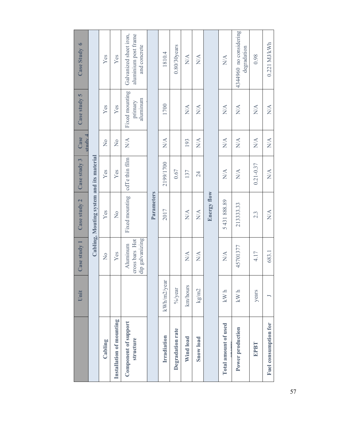|                                   | Unit        | Case study 1                                  | Case study 2                             | Case study 3                    | Case<br>study                                     | Case study 5                                      | Case Study 6                                                   |
|-----------------------------------|-------------|-----------------------------------------------|------------------------------------------|---------------------------------|---------------------------------------------------|---------------------------------------------------|----------------------------------------------------------------|
|                                   |             |                                               | Cabling, Mouting system and its material |                                 |                                                   |                                                   |                                                                |
| Cabling                           |             | $\frac{1}{2}$                                 | Yes                                      | Yes                             | $\frac{1}{2}$                                     | Yes                                               | Yes                                                            |
| Installation of mounting          |             | Yes                                           | $\frac{1}{2}$                            | Yes                             | $\mathsf{S}^{\mathsf{O}}$                         | Yes                                               | Yes                                                            |
| Component of support<br>structure |             | dip galvanizing<br>cross bars Hot<br>Aluminum | Fixed mounting                           | cdTe thin film                  | $\sum_{i=1}^{n}$                                  | Fixed mounting<br>aluminum<br>primary             | Galvanized sheet iron,<br>aluminium post frame<br>and concrete |
|                                   |             |                                               | Parameters                               |                                 |                                                   |                                                   |                                                                |
| Irradiation                       | kWh/m2/year |                                               | 2017                                     | 2199/1700                       | $N\!/\!A$                                         | 1700                                              | 1810.4                                                         |
| Degradation rate                  | $\%$ /year  |                                               |                                          | 0.67                            |                                                   |                                                   | $0.80/30$ years                                                |
| Wind load                         | km/hours    | N/A                                           | N/A                                      | 137                             | 193                                               | N/A                                               | $N\!A$                                                         |
| Snow load                         | kg/m2       | $\sum_{i=1}^{n}$                              | N/A                                      | 24                              | N/A                                               | N/A                                               | $N\!A$                                                         |
|                                   |             |                                               | <b>Energy flow</b>                       |                                 |                                                   |                                                   |                                                                |
| Total amount of used              | $kW$ h      | N/A                                           | 5431888.89                               | N/A                             | N/A                                               | N/A                                               | $\mathop{\rm NA}\nolimits$                                     |
| Power production                  | $kW$ h      | 45701377                                      | 213333.33                                | $\mathop{\rm NA}\limits^\Delta$ | N/A                                               | N/A                                               | 4344960 no considering<br>degradation                          |
| <b>EPBT</b>                       | years       | 4.17                                          | 2.3                                      | $0.21 - 0.37$                   | N/A                                               | $\sum_{i=1}^{n}$                                  | 0.98                                                           |
| Fuel consumption for              |             | 683.1                                         | N/A                                      | $\mathop{\rm NA}\nolimits$      | $\mathop{\rm N}\nolimits\!mathop{\rm A}\nolimits$ | $\mathop{\rm N}\nolimits\!mathop{\rm A}\nolimits$ | $0.221$ MJ/kWh                                                 |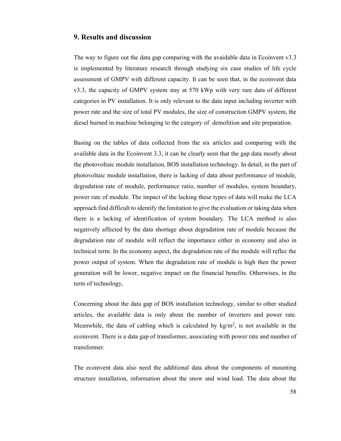## **9. Results and discussion**

The way to figure out the data gap comparing with the avaidable data in Ecoinvent v3.3 is implemented by literature research through studying six case studies of life cycle assessment of GMPV with different capacity. It can be seen that, in the ecoinvent data v3.3, the capacity of GMPV system stay at 570 kWp with very rare data of different categories in PV installation. It is only relevant to the data input including inverter with power rate and the size of total PV modules, the size of construction GMPV system, the diesel burned in machine belonging to the category of demolition and site preparation.

Basing on the tables of data collected from the six articles and comparing with the available data in the Ecoinvent 3.3, it can be clearly seen that the gap data mostly about the photovoltaic module installation, BOS installation technology. In detail, in the part of photovoltaic module installation, there is lacking of data about performance of module, degradation rate of module, performance ratio, number of modules, system boundary, power rate of module. The impact of the lacking these types of data will make the LCA approach find difficult to identify the limitation to give the evaluation or taking data when there is a lacking of identification of system boundary. The LCA method is also negatively affected by the data shortage about degradation rate of module because the degradation rate of module will reflect the importance either in economy and also in technical term. In the economy aspect, the degradation rate of the module will reflec the power output of system. When the degradation rate of module is high then the power generation will be lower, negative impact on the financial benefits. Otherwises, in the term of technology,

Concerning about the data gap of BOS installation technology, similar to other studied articles, the available data is only about the number of inverters and power rate. Meanwhile, the data of cabling which is calculated by  $kg/m^2$ , is not available in the ecoinvent. There is a data gap of transformer, associating with power rate and number of transformer.

The ecoinvent data also need the additional data about the components of mounting structure installation, information about the snow and wind load. The data about the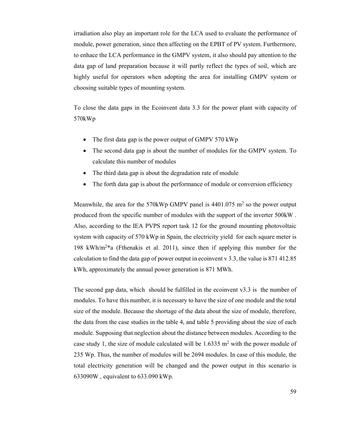irradiation also play an important role for the LCA used to evaluate the performance of module, power generation, since then affecting on the EPBT of PV system. Furthermore, to enhace the LCA performance in the GMPV system, it also should pay attention to the data gap of land preparation because it will partly reflect the types of soil, which are highly useful for operators when adopting the area for installing GMPV system or choosing suitable types of mounting system.

To close the data gaps in the Ecoinvent data 3.3 for the power plant with capacity of 570kWp

- The first data gap is the power output of GMPV 570 kWp
- The second data gap is about the number of modules for the GMPV system. To calculate this number of modules
- The third data gap is about the degradation rate of module
- The forth data gap is about the performance of module or conversion efficiency

Meanwhile, the area for the 570kWp GMPV panel is  $4401.075$  m<sup>2</sup> so the power output produced from the specific number of modules with the support of the inverter 500kW . Also, according to the IEA PVPS report task 12 for the ground mounting photovoltaic system with capacity of 570 kWp in Spain, the electricity yield for each square meter is 198 kWh/m<sup>2</sup>\*a (Fthenakis et al. 2011), since then if applying this number for the calculation to find the data gap of power output in ecoinvent v 3.3, the value is 871 412.85 kWh, approximately the annual power generation is 871 MWh.

The second gap data, which should be fulfilled in the ecoinvent  $v3.3$  is the number of modules. To have this number, it is necessary to have the size of one module and the total size of the module. Because the shortage of the data about the size of module, therefore, the data from the case studies in the table 4, and table 5 providing about the size of each module. Supposing that neglection about the distance between modules. According to the case study 1, the size of module calculated will be  $1.6335 \text{ m}^2$  with the power module of 235 Wp. Thus, the number of modules will be 2694 modules. In case of this module, the total electricity generation will be changed and the power output in this scenario is 633090W , equivalent to 633.090 kWp.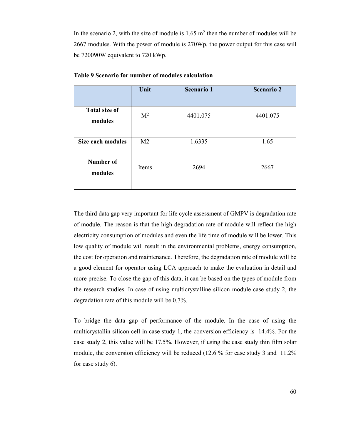In the scenario 2, with the size of module is  $1.65 \text{ m}^2$  then the number of modules will be 2667 modules. With the power of module is 270Wp, the power output for this case will be 720090W equivalent to 720 kWp.

|                                 | Unit           | <b>Scenario 1</b> | <b>Scenario 2</b> |
|---------------------------------|----------------|-------------------|-------------------|
| <b>Total size of</b><br>modules | M <sup>2</sup> | 4401.075          | 4401.075          |
| <b>Size each modules</b>        | M <sub>2</sub> | 1.6335            | 1.65              |
| <b>Number of</b><br>modules     | Items          | 2694              | 2667              |

**Table 9 Scenario for number of modules calculation** 

The third data gap very important for life cycle assessment of GMPV is degradation rate of module. The reason is that the high degradation rate of module will reflect the high electricity consumption of modules and even the life time of module will be lower. This low quality of module will result in the environmental problems, energy consumption, the cost for operation and maintenance. Therefore, the degradation rate of module will be a good element for operator using LCA approach to make the evaluation in detail and more precise. To close the gap of this data, it can be based on the types of module from the research studies. In case of using multicrystalline silicon module case study 2, the degradation rate of this module will be 0.7%.

To bridge the data gap of performance of the module. In the case of using the multicrystallin silicon cell in case study 1, the conversion efficiency is 14.4%. For the case study 2, this value will be 17.5%. However, if using the case study thin film solar module, the conversion efficiency will be reduced (12.6 % for case study 3 and 11.2% for case study 6).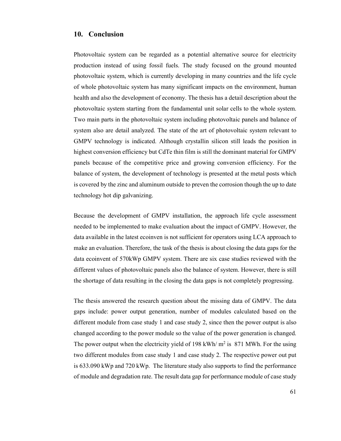## **10. Conclusion**

Photovoltaic system can be regarded as a potential alternative source for electricity production instead of using fossil fuels. The study focused on the ground mounted photovoltaic system, which is currently developing in many countries and the life cycle of whole photovoltaic system has many significant impacts on the environment, human health and also the development of economy. The thesis has a detail description about the photovoltaic system starting from the fundamental unit solar cells to the whole system. Two main parts in the photovoltaic system including photovoltaic panels and balance of system also are detail analyzed. The state of the art of photovoltaic system relevant to GMPV technology is indicated. Although crystallin silicon still leads the position in highest conversion efficiency but CdTe thin film is still the dominant material for GMPV panels because of the competitive price and growing conversion efficiency. For the balance of system, the development of technology is presented at the metal posts which is covered by the zinc and aluminum outside to preven the corrosion though the up to date technology hot dip galvanizing.

Because the development of GMPV installation, the approach life cycle assessment needed to be implemented to make evaluation about the impact of GMPV. However, the data available in the latest ecoinven is not sufficient for operators using LCA approach to make an evaluation. Therefore, the task of the thesis is about closing the data gaps for the data ecoinvent of 570kWp GMPV system. There are six case studies reviewed with the different values of photovoltaic panels also the balance of system. However, there is still the shortage of data resulting in the closing the data gaps is not completely progressing.

The thesis answered the research question about the missing data of GMPV. The data gaps include: power output generation, number of modules calculated based on the different module from case study 1 and case study 2, since then the power output is also changed according to the power module so the value of the power generation is changed. The power output when the electricity yield of 198 kWh/ $m^2$  is 871 MWh. For the using two different modules from case study 1 and case study 2. The respective power out put is 633.090 kWp and 720 kWp. The literature study also supports to find the performance of module and degradation rate. The result data gap for performance module of case study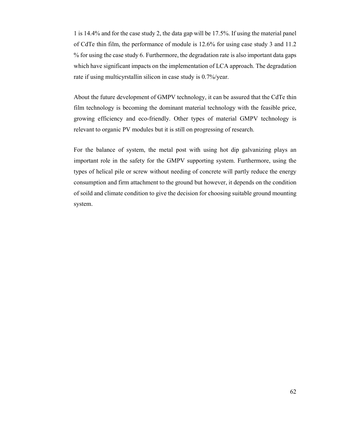1 is 14.4% and for the case study 2, the data gap will be 17.5%. If using the material panel of CdTe thin film, the performance of module is 12.6% for using case study 3 and 11.2 % for using the case study 6. Furthermore, the degradation rate is also important data gaps which have significant impacts on the implementation of LCA approach. The degradation rate if using multicyrstallin silicon in case study is 0.7%/year.

About the future development of GMPV technology, it can be assured that the CdTe thin film technology is becoming the dominant material technology with the feasible price, growing efficiency and eco-friendly. Other types of material GMPV technology is relevant to organic PV modules but it is still on progressing of research.

For the balance of system, the metal post with using hot dip galvanizing plays an important role in the safety for the GMPV supporting system. Furthermore, using the types of helical pile or screw without needing of concrete will partly reduce the energy consumption and firm attachment to the ground but however, it depends on the condition of soild and climate condition to give the decision for choosing suitable ground mounting system.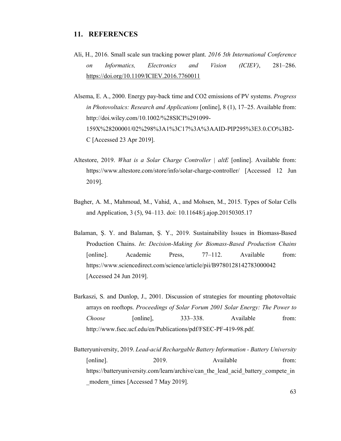## **11. REFERENCES**

- Ali, H., 2016. Small scale sun tracking power plant. *2016 5th International Conference on Informatics, Electronics and Vision (ICIEV)*, 281–286. https://doi.org/10.1109/ICIEV.2016.7760011
- Alsema, E. A., 2000. Energy pay-back time and CO2 emissions of PV systems. *Progress in Photovoltaics: Research and Applications* [online], 8 (1), 17–25. Available from: http://doi.wiley.com/10.1002/%28SICI%291099- 159X%28200001/02%298%3A1%3C17%3A%3AAID-PIP295%3E3.0.CO%3B2- C [Accessed 23 Apr 2019].
- Altestore, 2019. *What is a Solar Charge Controller | altE* [online]. Available from: https://www.altestore.com/store/info/solar-charge-controller/ [Accessed 12 Jun 2019].
- Bagher, A. M., Mahmoud, M., Vahid, A., and Mohsen, M., 2015. Types of Solar Cells and Application, 3 (5), 94–113. doi: 10.11648/j.ajop.20150305.17
- Balaman, Ş. Y. and Balaman, Ş. Y., 2019. Sustainability Issues in Biomass-Based Production Chains. *In*: *Decision-Making for Biomass-Based Production Chains* [online]. Academic Press, 77–112. Available from: https://www.sciencedirect.com/science/article/pii/B9780128142783000042 [Accessed 24 Jun 2019].
- Barkaszi, S. and Dunlop, J., 2001. Discussion of strategies for mounting photovoltaic arrays on rooftops. *Proceedings of Solar Forum 2001 Solar Energy: The Power to Choose* [online], 333–338. Available from: http://www.fsec.ucf.edu/en/Publications/pdf/FSEC-PF-419-98.pdf.
- Batteryuniversity, 2019. *Lead-acid Rechargable Battery Information Battery University* [online]. 2019. Available from: https://batteryuniversity.com/learn/archive/can\_the\_lead\_acid\_battery\_compete\_in modern times [Accessed 7 May 2019].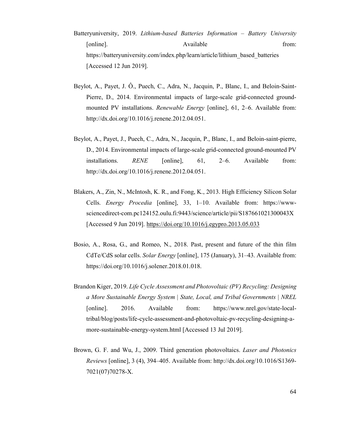- Batteryuniversity, 2019. *Lithium-based Batteries Information Battery University* [online]. Available from: https://batteryuniversity.com/index.php/learn/article/lithium\_based\_batteries [Accessed 12 Jun 2019].
- Beylot, A., Payet, J. Ô., Puech, C., Adra, N., Jacquin, P., Blanc, I., and Beloin-Saint-Pierre, D., 2014. Environmental impacts of large-scale grid-connected groundmounted PV installations. *Renewable Energy* [online], 61, 2–6. Available from: http://dx.doi.org/10.1016/j.renene.2012.04.051.
- Beylot, A., Payet, J., Puech, C., Adra, N., Jacquin, P., Blanc, I., and Beloin-saint-pierre, D., 2014. Environmental impacts of large-scale grid-connected ground-mounted PV installations. *RENE* [online], 61, 2–6. Available from: http://dx.doi.org/10.1016/j.renene.2012.04.051.
- Blakers, A., Zin, N., McIntosh, K. R., and Fong, K., 2013. High Efficiency Silicon Solar Cells. *Energy Procedia* [online], 33, 1–10. Available from: https://wwwsciencedirect-com.pc124152.oulu.fi:9443/science/article/pii/S187661021300043X [Accessed 9 Jun 2019]. https://doi.org/10.1016/j.egypro.2013.05.033
- Bosio, A., Rosa, G., and Romeo, N., 2018. Past, present and future of the thin film CdTe/CdS solar cells. *Solar Energy* [online], 175 (January), 31–43. Available from: https://doi.org/10.1016/j.solener.2018.01.018.
- Brandon Kiger, 2019. *Life Cycle Assessment and Photovoltaic (PV) Recycling: Designing a More Sustainable Energy System | State, Local, and Tribal Governments | NREL* [online]. 2016. Available from: https://www.nrel.gov/state-localtribal/blog/posts/life-cycle-assessment-and-photovoltaic-pv-recycling-designing-amore-sustainable-energy-system.html [Accessed 13 Jul 2019].
- Brown, G. F. and Wu, J., 2009. Third generation photovoltaics. *Laser and Photonics Reviews* [online], 3 (4), 394–405. Available from: http://dx.doi.org/10.1016/S1369- 7021(07)70278-X.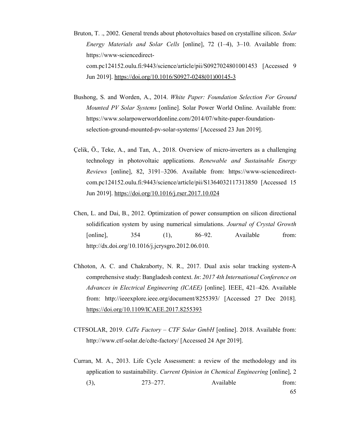- Bruton, T. ., 2002. General trends about photovoltaics based on crystalline silicon. *Solar Energy Materials and Solar Cells* [online], 72 (1–4), 3–10. Available from: https://www-sciencedirectcom.pc124152.oulu.fi:9443/science/article/pii/S0927024801001453 [Accessed 9 Jun 2019]. https://doi.org/10.1016/S0927-0248(01)00145-3
- Bushong, S. and Worden, A., 2014. *White Paper: Foundation Selection For Ground Mounted PV Solar Systems* [online]. Solar Power World Online. Available from: https://www.solarpowerworldonline.com/2014/07/white-paper-foundationselection-ground-mounted-pv-solar-systems/ [Accessed 23 Jun 2019].
- Çelik, Ö., Teke, A., and Tan, A., 2018. Overview of micro-inverters as a challenging technology in photovoltaic applications. *Renewable and Sustainable Energy Reviews* [online], 82, 3191–3206. Available from: https://www-sciencedirectcom.pc124152.oulu.fi:9443/science/article/pii/S1364032117313850 [Accessed 15 Jun 2019]. https://doi.org/10.1016/j.rser.2017.10.024
- Chen, L. and Dai, B., 2012. Optimization of power consumption on silicon directional solidification system by using numerical simulations. *Journal of Crystal Growth* [online], 354 (1), 86–92. Available from: http://dx.doi.org/10.1016/j.jcrysgro.2012.06.010.
- Chhoton, A. C. and Chakraborty, N. R., 2017. Dual axis solar tracking system-A comprehensive study: Bangladesh context. *In*: *2017 4th International Conference on Advances in Electrical Engineering (ICAEE)* [online]. IEEE, 421–426. Available from: http://ieeexplore.ieee.org/document/8255393/ [Accessed 27 Dec 2018]. https://doi.org/10.1109/ICAEE.2017.8255393
- CTFSOLAR, 2019. *CdTe Factory CTF Solar GmbH* [online]. 2018. Available from: http://www.ctf-solar.de/cdte-factory/ [Accessed 24 Apr 2019].
- Curran, M. A., 2013. Life Cycle Assessment: a review of the methodology and its application to sustainability. *Current Opinion in Chemical Engineering* [online], 2 (3), 273–277. Available from:

65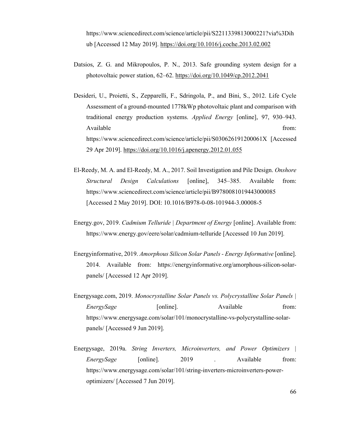https://www.sciencedirect.com/science/article/pii/S2211339813000221?via%3Dih ub [Accessed 12 May 2019]. https://doi.org/10.1016/j.coche.2013.02.002

- Datsios, Z. G. and Mikropoulos, P. N., 2013. Safe grounding system design for a photovoltaic power station, 62–62. https://doi.org/10.1049/cp.2012.2041
- Desideri, U., Proietti, S., Zepparelli, F., Sdringola, P., and Bini, S., 2012. Life Cycle Assessment of a ground-mounted 1778kWp photovoltaic plant and comparison with traditional energy production systems. *Applied Energy* [online], 97, 930–943. Available from: https://www.sciencedirect.com/science/article/pii/S030626191200061X [Accessed 29 Apr 2019]. https://doi.org/10.1016/j.apenergy.2012.01.055
- El-Reedy, M. A. and El-Reedy, M. A., 2017. Soil Investigation and Pile Design. *Onshore Structural Design Calculations* [online], 345–385. Available from: https://www.sciencedirect.com/science/article/pii/B9780081019443000085 [Accessed 2 May 2019]. DOI: 10.1016/B978-0-08-101944-3.00008-5
- Energy.gov, 2019. *Cadmium Telluride | Department of Energy* [online]. Available from: https://www.energy.gov/eere/solar/cadmium-telluride [Accessed 10 Jun 2019].
- Energyinformative, 2019. *Amorphous Silicon Solar Panels Energy Informative* [online]. 2014. Available from: https://energyinformative.org/amorphous-silicon-solarpanels/ [Accessed 12 Apr 2019].
- Energysage.com, 2019. *Monocrystalline Solar Panels vs. Polycrystalline Solar Panels | EnergySage* [online]. Available from: https://www.energysage.com/solar/101/monocrystalline-vs-polycrystalline-solarpanels/ [Accessed 9 Jun 2019].
- Energysage, 2019a. *String Inverters, Microinverters, and Power Optimizers | EnergySage* [online]. 2019 . Available from: https://www.energysage.com/solar/101/string-inverters-microinverters-poweroptimizers/ [Accessed 7 Jun 2019].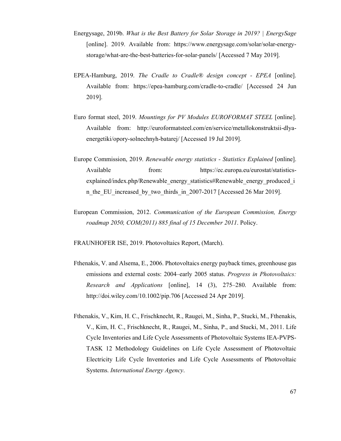- Energysage, 2019b. *What is the Best Battery for Solar Storage in 2019? | EnergySage* [online]. 2019. Available from: https://www.energysage.com/solar/solar-energystorage/what-are-the-best-batteries-for-solar-panels/ [Accessed 7 May 2019].
- EPEA-Hamburg, 2019. *The Cradle to Cradle® design concept EPEA* [online]. Available from: https://epea-hamburg.com/cradle-to-cradle/ [Accessed 24 Jun 2019].
- Euro format steel, 2019. *Mountings for PV Modules EUROFORMAT STEEL* [online]. Available from: http://euroformatsteel.com/en/service/metallokonstruktsii-dlyaenergetiki/opory-solnechnyh-batarej/ [Accessed 19 Jul 2019].
- Europe Commission, 2019. *Renewable energy statistics Statistics Explained* [online]. Available from: https://ec.europa.eu/eurostat/statisticsexplained/index.php/Renewable\_energy\_statistics#Renewable\_energy\_produced\_i n the EU increased by two thirds in 2007-2017 [Accessed 26 Mar 2019].
- European Commission, 2012. *Communication of the European Commission, Energy roadmap 2050, COM(2011) 885 final of 15 December 2011*. Policy.

FRAUNHOFER ISE, 2019. Photovoltaics Report, (March).

- Fthenakis, V. and Alsema, E., 2006. Photovoltaics energy payback times, greenhouse gas emissions and external costs: 2004–early 2005 status. *Progress in Photovoltaics: Research and Applications* [online], 14 (3), 275–280. Available from: http://doi.wiley.com/10.1002/pip.706 [Accessed 24 Apr 2019].
- Fthenakis, V., Kim, H. C., Frischknecht, R., Raugei, M., Sinha, P., Stucki, M., Fthenakis, V., Kim, H. C., Frischknecht, R., Raugei, M., Sinha, P., and Stucki, M., 2011. Life Cycle Inventories and Life Cycle Assessments of Photovoltaic Systems IEA-PVPS-TASK 12 Methodology Guidelines on Life Cycle Assessment of Photovoltaic Electricity Life Cycle Inventories and Life Cycle Assessments of Photovoltaic Systems. *International Energy Agency*.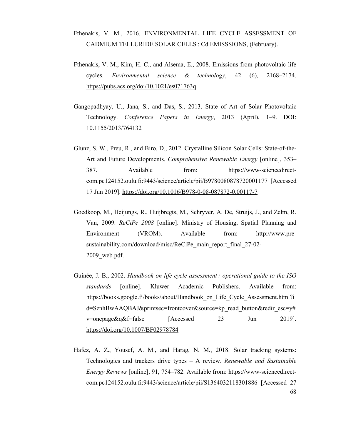## Fthenakis, V. M., 2016. ENVIRONMENTAL LIFE CYCLE ASSESSMENT OF CADMIUM TELLURIDE SOLAR CELLS : Cd EMISSSIONS, (February).

- Fthenakis, V. M., Kim, H. C., and Alsema, E., 2008. Emissions from photovoltaic life cycles. *Environmental science & technology*, 42 (6), 2168–2174. https://pubs.acs.org/doi/10.1021/es071763q
- Gangopadhyay, U., Jana, S., and Das, S., 2013. State of Art of Solar Photovoltaic Technology. *Conference Papers in Energy*, 2013 (April), 1–9. DOI: 10.1155/2013/764132
- Glunz, S. W., Preu, R., and Biro, D., 2012. Crystalline Silicon Solar Cells: State-of-the-Art and Future Developments. *Comprehensive Renewable Energy* [online], 353– 387. Available from: https://www-sciencedirectcom.pc124152.oulu.fi:9443/science/article/pii/B9780080878720001177 [Accessed 17 Jun 2019]. https://doi.org/10.1016/B978-0-08-087872-0.00117-7
- Goedkoop, M., Heijungs, R., Huijbregts, M., Schryver, A. De, Struijs, J., and Zelm, R. Van, 2009. *ReCiPe 2008* [online]. Ministry of Housing, Spatial Planning and Environment (VROM). Available from: http://www.presustainability.com/download/misc/ReCiPe\_main\_report\_final\_27-02-2009 web.pdf.
- Guinée, J. B., 2002. *Handbook on life cycle assessment : operational guide to the ISO standards* [online]. Kluwer Academic Publishers. Available from: https://books.google.fi/books/about/Handbook on Life Cycle Assessment.html?i d=SznhBwAAQBAJ&printsec=frontcover&source=kp\_read\_button&redir\_esc=y#  $v$ =onepage&q&f=false [Accessed 23 Jun 2019]. https://doi.org/10.1007/BF02978784
- 68 Hafez, A. Z., Yousef, A. M., and Harag, N. M., 2018. Solar tracking systems: Technologies and trackers drive types – A review. *Renewable and Sustainable Energy Reviews* [online], 91, 754–782. Available from: https://www-sciencedirectcom.pc124152.oulu.fi:9443/science/article/pii/S1364032118301886 [Accessed 27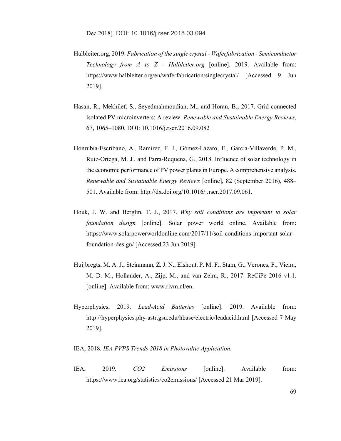- Halbleiter.org, 2019. *Fabrication of the single crystal Waferfabrication Semiconductor Technology from A to Z - Halbleiter.org* [online]. 2019. Available from: https://www.halbleiter.org/en/waferfabrication/singlecrystal/ [Accessed 9 Jun 2019].
- Hasan, R., Mekhilef, S., Seyedmahmoudian, M., and Horan, B., 2017. Grid-connected isolated PV microinverters: A review. *Renewable and Sustainable Energy Reviews*, 67, 1065–1080. DOI: 10.1016/j.rser.2016.09.082
- Honrubia-Escribano, A., Ramirez, F. J., Gómez-Lázaro, E., Garcia-Villaverde, P. M., Ruiz-Ortega, M. J., and Parra-Requena, G., 2018. Influence of solar technology in the economic performance of PV power plants in Europe. A comprehensive analysis. *Renewable and Sustainable Energy Reviews* [online], 82 (September 2016), 488– 501. Available from: http://dx.doi.org/10.1016/j.rser.2017.09.061.
- Houk, J. W. and Berglin, T. J., 2017. *Why soil conditions are important to solar foundation design* [online]. Solar power world online. Available from: https://www.solarpowerworldonline.com/2017/11/soil-conditions-important-solarfoundation-design/ [Accessed 23 Jun 2019].
- Huijbregts, M. A. J., Steinmann, Z. J. N., Elshout, P. M. F., Stam, G., Verones, F., Vieira, M. D. M., Hollander, A., Zijp, M., and van Zelm, R., 2017. ReCiPe 2016 v1.1. [online]. Available from: www.rivm.nl/en.
- Hyperphysics, 2019. *Lead-Acid Batteries* [online]. 2019. Available from: http://hyperphysics.phy-astr.gsu.edu/hbase/electric/leadacid.html [Accessed 7 May 2019].

IEA, 2018. *IEA PVPS Trends 2018 in Photovaltic Application*.

IEA, 2019. *CO2 Emissions* [online]. Available from: https://www.iea.org/statistics/co2emissions/ [Accessed 21 Mar 2019].

69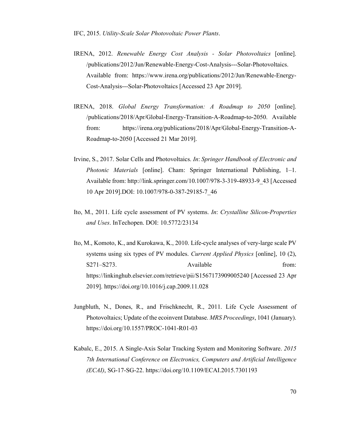- IRENA, 2012. *Renewable Energy Cost Analysis Solar Photovoltaics* [online]. /publications/2012/Jun/Renewable-Energy-Cost-Analysis---Solar-Photovoltaics. Available from: https://www.irena.org/publications/2012/Jun/Renewable-Energy-Cost-Analysis---Solar-Photovoltaics [Accessed 23 Apr 2019].
- IRENA, 2018. *Global Energy Transformation: A Roadmap to 2050* [online]. /publications/2018/Apr/Global-Energy-Transition-A-Roadmap-to-2050. Available from: https://irena.org/publications/2018/Apr/Global-Energy-Transition-A-Roadmap-to-2050 [Accessed 21 Mar 2019].
- Irvine, S., 2017. Solar Cells and Photovoltaics. *In*: *Springer Handbook of Electronic and Photonic Materials* [online]. Cham: Springer International Publishing, 1–1. Available from: http://link.springer.com/10.1007/978-3-319-48933-9\_43 [Accessed 10 Apr 2019].DOI: 10.1007/978-0-387-29185-7\_46
- Ito, M., 2011. Life cycle assessment of PV systems. *In*: *Crystalline Silicon-Properties and Uses*. InTechopen. DOI: 10.5772/23134
- Ito, M., Komoto, K., and Kurokawa, K., 2010. Life-cycle analyses of very-large scale PV systems using six types of PV modules. *Current Applied Physics* [online], 10 (2), S271–S273. Available from: https://linkinghub.elsevier.com/retrieve/pii/S1567173909005240 [Accessed 23 Apr 2019]. https://doi.org/10.1016/j.cap.2009.11.028
- Jungbluth, N., Dones, R., and Frischknecht, R., 2011. Life Cycle Assessment of Photovoltaics; Update of the ecoinvent Database. *MRS Proceedings*, 1041 (January). https://doi.org/10.1557/PROC-1041-R01-03
- Kabalc, E., 2015. A Single-Axis Solar Tracking System and Monitoring Software. *2015 7th International Conference on Electronics, Computers and Artificial Intelligence (ECAI)*, SG-17-SG-22. https://doi.org/10.1109/ECAI.2015.7301193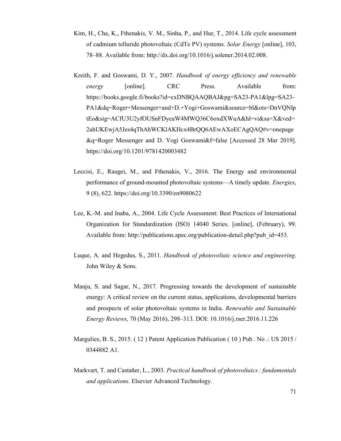- Kim, H., Cha, K., Fthenakis, V. M., Sinha, P., and Hur, T., 2014. Life cycle assessment of cadmium telluride photovoltaic (CdTe PV) systems. *Solar Energy* [online], 103, 78–88. Available from: http://dx.doi.org/10.1016/j.solener.2014.02.008.
- Kreith, F. and Goswami, D. Y., 2007. *Handbook of energy efficiency and renewable energy* [online]. CRC Press. Available from: https://books.google.fi/books?id=cxDNBQAAQBAJ&pg=SA23-PA1&lpg=SA23- PA1&dq=Roger+Messenger+and+D.+Yogi+Goswami&source=bl&ots=DnVQNlp tEo&sig=ACfU3U2yfOUSnFDyeaW4MWQ36C6oxdXWuA&hl=vi&sa=X&ved= 2ahUKEwjA5Jes4qThAhWCKlAKHcx4BrQQ6AEwAXoECAgQAQ#v=onepage &q=Roger Messenger and D. Yogi Goswami&f=false [Accessed 28 Mar 2019]. https://doi.org/10.1201/9781420003482
- Leccisi, E., Raugei, M., and Fthenakis, V., 2016. The Energy and environmental performance of ground-mounted photovoltaic systems—A timely update. *Energies*, 9 (8), 622. https://doi.org/10.3390/en9080622
- Lee, K.-M. and Inaba, A., 2004. Life Cycle Assessment: Best Practices of International Organization for Standardization (ISO) 14040 Series. [online], (February), 99. Available from: http://publications.apec.org/publication-detail.php?pub\_id=453.
- Luque, A. and Hegedus, S., 2011. *Handbook of photovoltaic science and engineering*. John Wiley & Sons.
- Manju, S. and Sagar, N., 2017. Progressing towards the development of sustainable energy: A critical review on the current status, applications, developmental barriers and prospects of solar photovoltaic systems in India. *Renewable and Sustainable Energy Reviews*, 70 (May 2016), 298–313. DOI: 10.1016/j.rser.2016.11.226
- Margulies, B. S., 2015. (12) Patent Application Publication (10) Pub. No .: US 2015 / 0344882 A1.
- Markvart, T. and Castañer, L., 2003. *Practical handbook of photovoltaics : fundamentals and applications*. Elsevier Advanced Technology.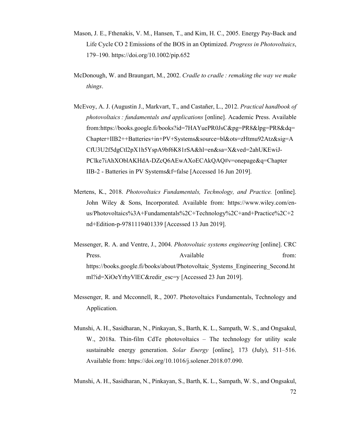- Mason, J. E., Fthenakis, V. M., Hansen, T., and Kim, H. C., 2005. Energy Pay-Back and Life Cycle CO 2 Emissions of the BOS in an Optimized. *Progress in Photovoltaics*, 179–190. https://doi.org/10.1002/pip.652
- McDonough, W. and Braungart, M., 2002. *Cradle to cradle : remaking the way we make things*.
- McEvoy, A. J. (Augustin J., Markvart, T., and Castañer, L., 2012. *Practical handbook of photovoltaics : fundamentals and applications* [online]. Academic Press. Available from:https://books.google.fi/books?id=7HAYuePR0JsC&pg=PR8&lpg=PR8&dq= Chapter+IIB2++Batteries+in+PV+Systems&source=bl&ots=zHtmu92Atz&sig=A CfU3U2f5dgCtl2pX1h5YspA9bf6K81rSA&hl=en&sa=X&ved=2ahUKEwiJ-PClke7iAhXOblAKHdA-DZcQ6AEwAXoECAkQAQ#v=onepage&q=Chapter IIB-2 - Batteries in PV Systems&f=false [Accessed 16 Jun 2019].
- Mertens, K., 2018. *Photovoltaics Fundamentals, Technology, and Practice.* [online]. John Wiley & Sons, Incorporated. Available from: https://www.wiley.com/enus/Photovoltaics%3A+Fundamentals%2C+Technology%2C+and+Practice%2C+2 nd+Edition-p-9781119401339 [Accessed 13 Jun 2019].
- Messenger, R. A. and Ventre, J., 2004. *Photovoltaic systems engineering* [online]. CRC Press. Available from: https://books.google.fi/books/about/Photovoltaic\_Systems\_Engineering\_Second.ht ml?id=XiOeYrhyVlEC&redir\_esc=y [Accessed 23 Jun 2019].
- Messenger, R. and Mcconnell, R., 2007. Photovoltaics Fundamentals, Technology and Application.
- Munshi, A. H., Sasidharan, N., Pinkayan, S., Barth, K. L., Sampath, W. S., and Ongsakul, W., 2018a. Thin-film CdTe photovoltaics – The technology for utility scale sustainable energy generation. *Solar Energy* [online], 173 (July), 511–516. Available from: https://doi.org/10.1016/j.solener.2018.07.090.
- Munshi, A. H., Sasidharan, N., Pinkayan, S., Barth, K. L., Sampath, W. S., and Ongsakul,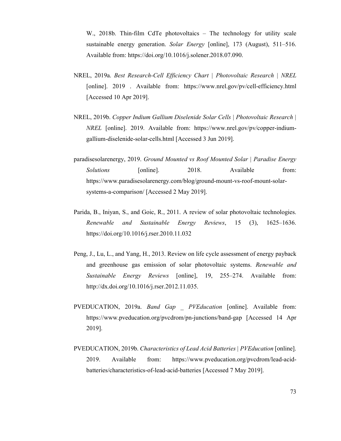W., 2018b. Thin-film CdTe photovoltaics – The technology for utility scale sustainable energy generation. *Solar Energy* [online], 173 (August), 511–516. Available from: https://doi.org/10.1016/j.solener.2018.07.090.

- NREL, 2019a. *Best Research-Cell Efficiency Chart | Photovoltaic Research | NREL* [online]. 2019 . Available from: https://www.nrel.gov/pv/cell-efficiency.html [Accessed 10 Apr 2019].
- NREL, 2019b. *Copper Indium Gallium Diselenide Solar Cells | Photovoltaic Research | NREL* [online]. 2019. Available from: https://www.nrel.gov/pv/copper-indiumgallium-diselenide-solar-cells.html [Accessed 3 Jun 2019].
- paradisesolarenergy, 2019. *Ground Mounted vs Roof Mounted Solar | Paradise Energy*  Solutions [online]. 2018. Available from: https://www.paradisesolarenergy.com/blog/ground-mount-vs-roof-mount-solarsystems-a-comparison/ [Accessed 2 May 2019].
- Parida, B., Iniyan, S., and Goic, R., 2011. A review of solar photovoltaic technologies. *Renewable and Sustainable Energy Reviews*, 15 (3), 1625–1636. https://doi.org/10.1016/j.rser.2010.11.032
- Peng, J., Lu, L., and Yang, H., 2013. Review on life cycle assessment of energy payback and greenhouse gas emission of solar photovoltaic systems. *Renewable and Sustainable Energy Reviews* [online], 19, 255–274. Available from: http://dx.doi.org/10.1016/j.rser.2012.11.035.
- PVEDUCATION, 2019a. *Band Gap \_ PVEducation* [online]. Available from: https://www.pveducation.org/pvcdrom/pn-junctions/band-gap [Accessed 14 Apr 2019].
- PVEDUCATION, 2019b. *Characteristics of Lead Acid Batteries | PVEducation* [online]. 2019. Available from: https://www.pveducation.org/pvcdrom/lead-acidbatteries/characteristics-of-lead-acid-batteries [Accessed 7 May 2019].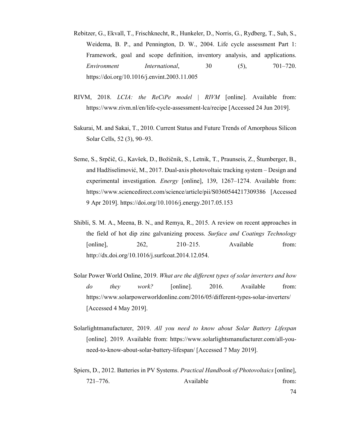- Rebitzer, G., Ekvall, T., Frischknecht, R., Hunkeler, D., Norris, G., Rydberg, T., Suh, S., Weidema, B. P., and Pennington, D. W., 2004. Life cycle assessment Part 1: Framework, goal and scope definition, inventory analysis, and applications. *Environment International*, 30 (5), 701–720. https://doi.org/10.1016/j.envint.2003.11.005
- RIVM, 2018. *LCIA: the ReCiPe model | RIVM* [online]. Available from: https://www.rivm.nl/en/life-cycle-assessment-lca/recipe [Accessed 24 Jun 2019].
- Sakurai, M. and Sakai, T., 2010. Current Status and Future Trends of Amorphous Silicon Solar Cells, 52 (3), 90–93.
- Seme, S., Srpčič, G., Kavšek, D., Božičnik, S., Letnik, T., Praunseis, Z., Štumberger, B., and Hadžiselimović, M., 2017. Dual-axis photovoltaic tracking system – Design and experimental investigation. *Energy* [online], 139, 1267–1274. Available from: https://www.sciencedirect.com/science/article/pii/S0360544217309386 [Accessed 9 Apr 2019]. https://doi.org/10.1016/j.energy.2017.05.153
- Shibli, S. M. A., Meena, B. N., and Remya, R., 2015. A review on recent approaches in the field of hot dip zinc galvanizing process. *Surface and Coatings Technology* [online], 262, 210–215. Available from: http://dx.doi.org/10.1016/j.surfcoat.2014.12.054.
- Solar Power World Online, 2019. *What are the different types of solar inverters and how do they work?* [online]. 2016. Available from: https://www.solarpowerworldonline.com/2016/05/different-types-solar-inverters/ [Accessed 4 May 2019].
- Solarlightmanufacturer, 2019. *All you need to know about Solar Battery Lifespan* [online]. 2019. Available from: https://www.solarlightsmanufacturer.com/all-youneed-to-know-about-solar-battery-lifespan/ [Accessed 7 May 2019].
- Spiers, D., 2012. Batteries in PV Systems. *Practical Handbook of Photovoltaics* [online], 721–776. Available from: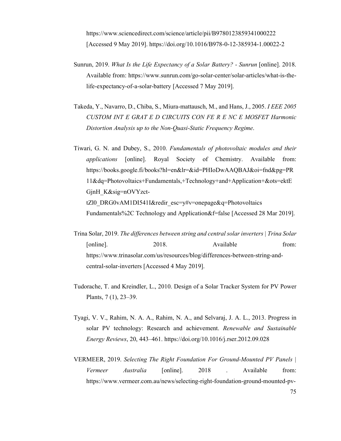https://www.sciencedirect.com/science/article/pii/B9780123859341000222 [Accessed 9 May 2019]. https://doi.org/10.1016/B978-0-12-385934-1.00022-2

- Sunrun, 2019. *What Is the Life Expectancy of a Solar Battery? Sunrun* [online]. 2018. Available from: https://www.sunrun.com/go-solar-center/solar-articles/what-is-thelife-expectancy-of-a-solar-battery [Accessed 7 May 2019].
- Takeda, Y., Navarro, D., Chiba, S., Miura-mattausch, M., and Hans, J., 2005. *I EEE 2005 CUSTOM INT E GRAT E D CIRCUITS CON FE R E NC E MOSFET Harmonic Distortion Analysis up to the Non-Quasi-Static Frequency Regime*.
- Tiwari, G. N. and Dubey, S., 2010. *Fundamentals of photovoltaic modules and their applications* [online]. Royal Society of Chemistry. Available from: https://books.google.fi/books?hl=en&lr=&id=PHIoDwAAQBAJ&oi=fnd&pg=PR 11&dq=Photovoltaics+Fundamentals,+Technology+and+Application+&ots=ektE GjnH\_K&sig=nOVYzcttZl0\_DRG0vAM1DI541I&redir\_esc=y#v=onepage&q=Photovoltaics Fundamentals%2C Technology and Application&f=false [Accessed 28 Mar 2019].
- Trina Solar, 2019. *The differences between string and central solar inverters | Trina Solar* [online]. 2018. Available from: https://www.trinasolar.com/us/resources/blog/differences-between-string-andcentral-solar-inverters [Accessed 4 May 2019].
- Tudorache, T. and Kreindler, L., 2010. Design of a Solar Tracker System for PV Power Plants, 7 (1), 23–39.
- Tyagi, V. V., Rahim, N. A. A., Rahim, N. A., and Selvaraj, J. A. L., 2013. Progress in solar PV technology: Research and achievement. *Renewable and Sustainable Energy Reviews*, 20, 443–461. https://doi.org/10.1016/j.rser.2012.09.028
- VERMEER, 2019. *Selecting The Right Foundation For Ground-Mounted PV Panels | Vermeer Australia* [online]. 2018 . Available from: https://www.vermeer.com.au/news/selecting-right-foundation-ground-mounted-pv-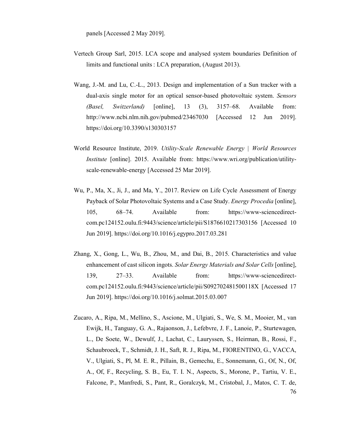panels [Accessed 2 May 2019].

- Vertech Group Sarl, 2015. LCA scope and analysed system boundaries Definition of limits and functional units : LCA preparation, (August 2013).
- Wang, J.-M. and Lu, C.-L., 2013. Design and implementation of a Sun tracker with a dual-axis single motor for an optical sensor-based photovoltaic system. *Sensors (Basel, Switzerland)* [online], 13 (3), 3157–68. Available from: http://www.ncbi.nlm.nih.gov/pubmed/23467030 [Accessed 12 Jun 2019]. https://doi.org/10.3390/s130303157
- World Resource Institute, 2019. *Utility-Scale Renewable Energy | World Resources Institute* [online]. 2015. Available from: https://www.wri.org/publication/utilityscale-renewable-energy [Accessed 25 Mar 2019].
- Wu, P., Ma, X., Ji, J., and Ma, Y., 2017. Review on Life Cycle Assessment of Energy Payback of Solar Photovoltaic Systems and a Case Study. *Energy Procedia* [online], 105, 68–74. Available from: https://www-sciencedirectcom.pc124152.oulu.fi:9443/science/article/pii/S1876610217303156 [Accessed 10 Jun 2019]. https://doi.org/10.1016/j.egypro.2017.03.281
- Zhang, X., Gong, L., Wu, B., Zhou, M., and Dai, B., 2015. Characteristics and value enhancement of cast silicon ingots. *Solar Energy Materials and Solar Cells* [online], 139, 27–33. Available from: https://www-sciencedirectcom.pc124152.oulu.fi:9443/science/article/pii/S092702481500118X [Accessed 17 Jun 2019]. https://doi.org/10.1016/j.solmat.2015.03.007
- 76 Zucaro, A., Ripa, M., Mellino, S., Ascione, M., Ulgiati, S., We, S. M., Mooier, M., van Ewijk, H., Tanguay, G. A., Rajaonson, J., Lefebvre, J. F., Lanoie, P., Sturtewagen, L., De Soete, W., Dewulf, J., Lachat, C., Lauryssen, S., Heirman, B., Rossi, F., Schaubroeck, T., Schmidt, J. H., Saft, R. J., Ripa, M., FIORENTINO, G., VACCA, V., Ulgiati, S., Pl, M. E. R., Pillain, B., Gemechu, E., Sonnemann, G., Of, N., Of, A., Of, F., Recycling, S. B., Eu, T. I. N., Aspects, S., Morone, P., Tartiu, V. E., Falcone, P., Manfredi, S., Pant, R., Goralczyk, M., Cristobal, J., Matos, C. T. de,